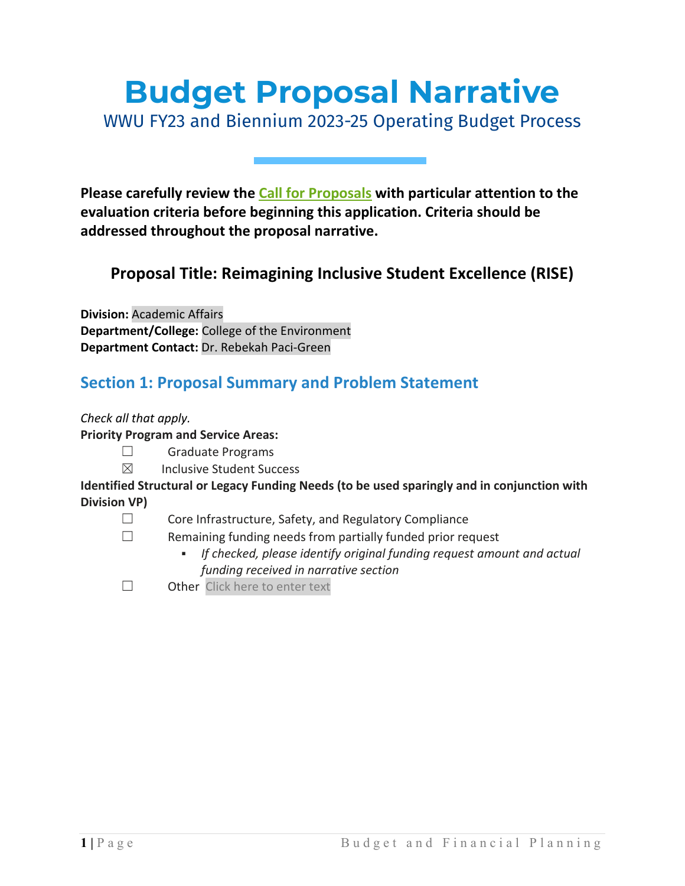# **Budget Proposal Narrative**

WWU FY23 and Biennium 2023-25 Operating Budget Process

**Please carefully review the [Call for Proposals](https://bfp.wwu.edu/wwu-budget) with particular attention to the evaluation criteria before beginning this application. Criteria should be addressed throughout the proposal narrative.**

### **Proposal Title: Reimagining Inclusive Student Excellence (RISE)**

**Division:** Academic Affairs **Department/College:** College of the Environment **Department Contact:** Dr. Rebekah Paci-Green

### **Section 1: Proposal Summary and Problem Statement**

*Check all that apply.*

### **Priority Program and Service Areas:**

- ☐ Graduate Programs
- ☒ Inclusive Student Success

### **Identified Structural or Legacy Funding Needs (to be used sparingly and in conjunction with Division VP)**

- ☐ Core Infrastructure, Safety, and Regulatory Compliance
- $\Box$  Remaining funding needs from partially funded prior request
	- *If checked, please identify original funding request amount and actual funding received in narrative section*
- □ Other Click here to enter text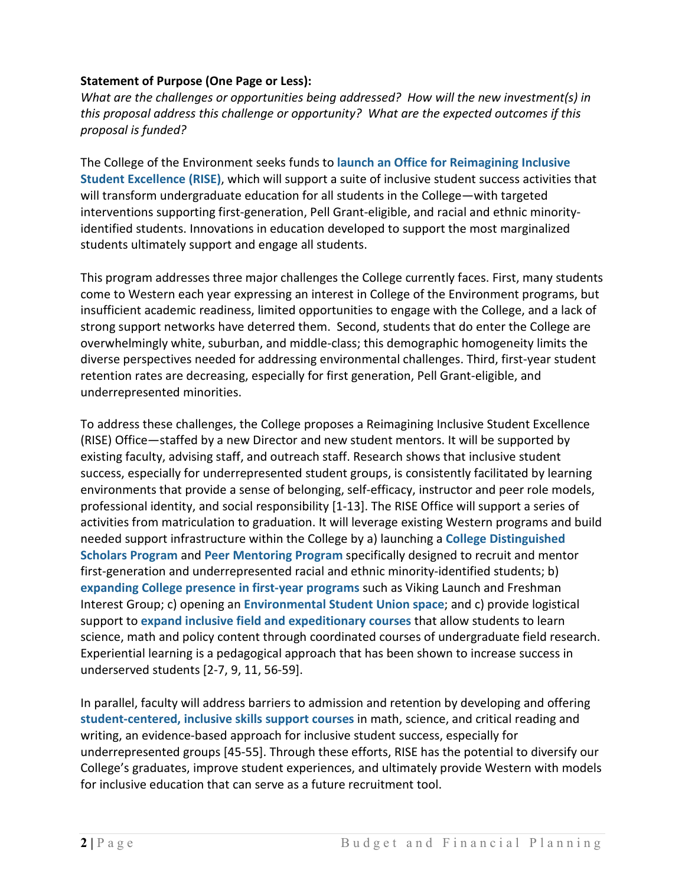### **Statement of Purpose (One Page or Less):**

*What are the challenges or opportunities being addressed? How will the new investment(s) in this proposal address this challenge or opportunity? What are the expected outcomes if this proposal is funded?*

The College of the Environment seeks funds to **launch an Office for Reimagining Inclusive Student Excellence (RISE)**, which will support a suite of inclusive student success activities that will transform undergraduate education for all students in the College—with targeted interventions supporting first-generation, Pell Grant-eligible, and racial and ethnic minorityidentified students. Innovations in education developed to support the most marginalized students ultimately support and engage all students.

This program addresses three major challenges the College currently faces. First, many students come to Western each year expressing an interest in College of the Environment programs, but insufficient academic readiness, limited opportunities to engage with the College, and a lack of strong support networks have deterred them. Second, students that do enter the College are overwhelmingly white, suburban, and middle-class; this demographic homogeneity limits the diverse perspectives needed for addressing environmental challenges. Third, first-year student retention rates are decreasing, especially for first generation, Pell Grant-eligible, and underrepresented minorities.

To address these challenges, the College proposes a Reimagining Inclusive Student Excellence (RISE) Office—staffed by a new Director and new student mentors. It will be supported by existing faculty, advising staff, and outreach staff. Research shows that inclusive student success, especially for underrepresented student groups, is consistently facilitated by learning environments that provide a sense of belonging, self-efficacy, instructor and peer role models, professional identity, and social responsibility [1-13]. The RISE Office will support a series of activities from matriculation to graduation. It will leverage existing Western programs and build needed support infrastructure within the College by a) launching a **College Distinguished Scholars Program** and **Peer Mentoring Program** specifically designed to recruit and mentor first-generation and underrepresented racial and ethnic minority-identified students; b) **expanding College presence in first-year programs** such as Viking Launch and Freshman Interest Group; c) opening an **Environmental Student Union space**; and c) provide logistical support to **expand inclusive field and expeditionary courses** that allow students to learn science, math and policy content through coordinated courses of undergraduate field research. Experiential learning is a pedagogical approach that has been shown to increase success in underserved students [2-7, 9, 11, 56-59].

In parallel, faculty will address barriers to admission and retention by developing and offering **student-centered, inclusive skills support courses** in math, science, and critical reading and writing, an evidence-based approach for inclusive student success, especially for underrepresented groups [45-55]. Through these efforts, RISE has the potential to diversify our College's graduates, improve student experiences, and ultimately provide Western with models for inclusive education that can serve as a future recruitment tool.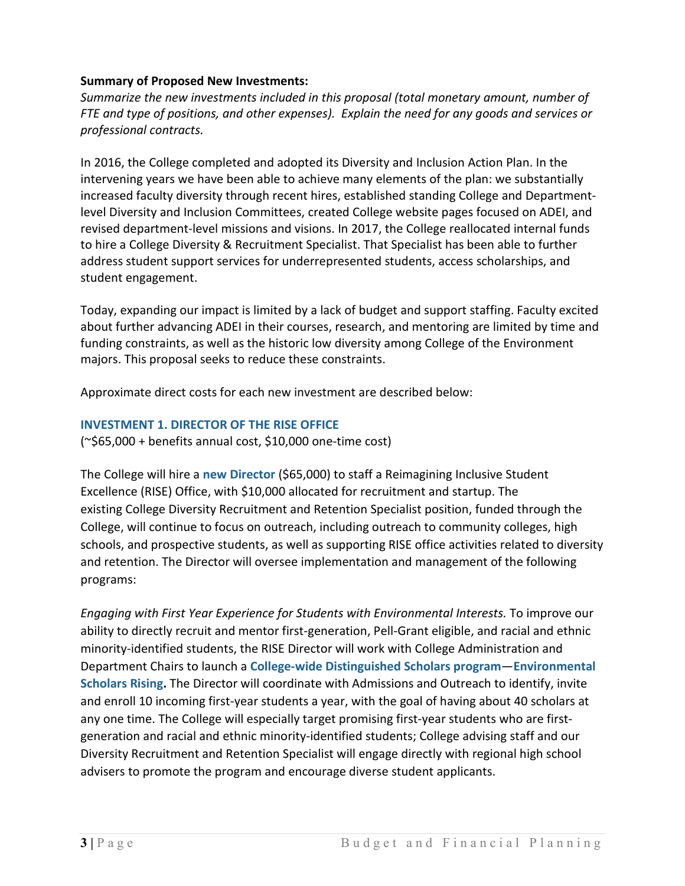### **Summary of Proposed New Investments:**

*Summarize the new investments included in this proposal (total monetary amount, number of FTE and type of positions, and other expenses). Explain the need for any goods and services or professional contracts.*

In 2016, the College completed and adopted its Diversity and Inclusion Action Plan. In the intervening years we have been able to achieve many elements of the plan: we substantially increased faculty diversity through recent hires, established standing College and Departmentlevel Diversity and Inclusion Committees, created College website pages focused on ADEI, and revised department-level missions and visions. In 2017, the College reallocated internal funds to hire a College Diversity & Recruitment Specialist. That Specialist has been able to further address student support services for underrepresented students, access scholarships, and student engagement.

Today, expanding our impact is limited by a lack of budget and support staffing. Faculty excited about further advancing ADEI in their courses, research, and mentoring are limited by time and funding constraints, as well as the historic low diversity among College of the Environment majors. This proposal seeks to reduce these constraints.

Approximate direct costs for each new investment are described below:

### **INVESTMENT 1. DIRECTOR OF THE RISE OFFICE**

 $(*$65,000 + benefits annual cost, $10,000 one-time cost)$ 

The College will hire a **new Director** (\$65,000) to staff a Reimagining Inclusive Student Excellence (RISE) Office, with \$10,000 allocated for recruitment and startup. The existing College Diversity Recruitment and Retention Specialist position, funded through the College, will continue to focus on outreach, including outreach to community colleges, high schools, and prospective students, as well as supporting RISE office activities related to diversity and retention. The Director will oversee implementation and management of the following programs:

*Engaging with First Year Experience for Students with Environmental Interests.* To improve our ability to directly recruit and mentor first-generation, Pell-Grant eligible, and racial and ethnic minority-identified students, the RISE Director will work with College Administration and Department Chairs to launch a **College-wide Distinguished Scholars program**—**Environmental Scholars Rising.** The Director will coordinate with Admissions and Outreach to identify, invite and enroll 10 incoming first-year students a year, with the goal of having about 40 scholars at any one time. The College will especially target promising first-year students who are firstgeneration and racial and ethnic minority-identified students; College advising staff and our Diversity Recruitment and Retention Specialist will engage directly with regional high school advisers to promote the program and encourage diverse student applicants.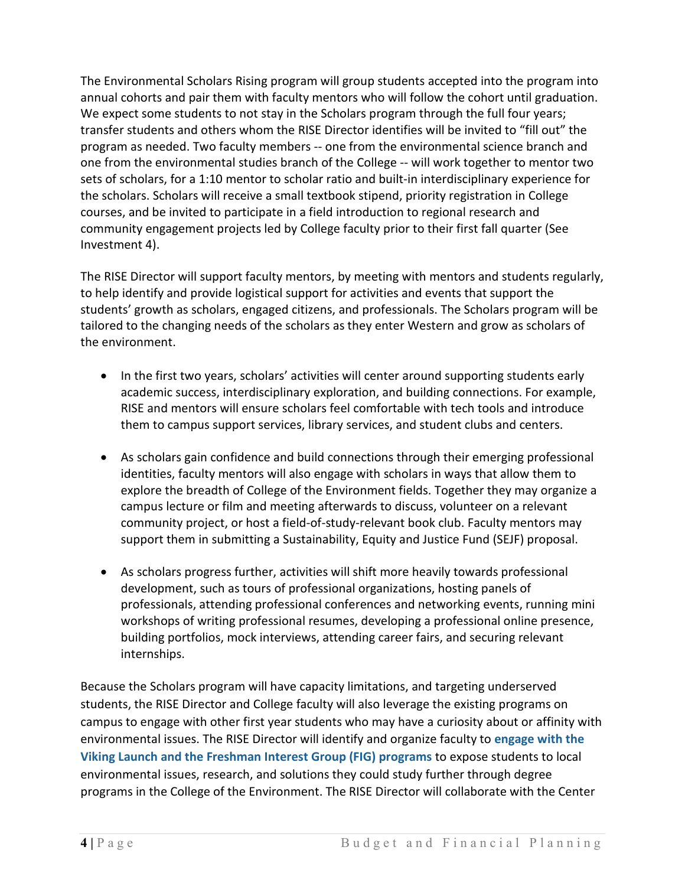The Environmental Scholars Rising program will group students accepted into the program into annual cohorts and pair them with faculty mentors who will follow the cohort until graduation. We expect some students to not stay in the Scholars program through the full four years; transfer students and others whom the RISE Director identifies will be invited to "fill out" the program as needed. Two faculty members -- one from the environmental science branch and one from the environmental studies branch of the College -- will work together to mentor two sets of scholars, for a 1:10 mentor to scholar ratio and built-in interdisciplinary experience for the scholars. Scholars will receive a small textbook stipend, priority registration in College courses, and be invited to participate in a field introduction to regional research and community engagement projects led by College faculty prior to their first fall quarter (See Investment 4).

The RISE Director will support faculty mentors, by meeting with mentors and students regularly, to help identify and provide logistical support for activities and events that support the students' growth as scholars, engaged citizens, and professionals. The Scholars program will be tailored to the changing needs of the scholars as they enter Western and grow as scholars of the environment.

- In the first two years, scholars' activities will center around supporting students early academic success, interdisciplinary exploration, and building connections. For example, RISE and mentors will ensure scholars feel comfortable with tech tools and introduce them to campus support services, library services, and student clubs and centers.
- As scholars gain confidence and build connections through their emerging professional identities, faculty mentors will also engage with scholars in ways that allow them to explore the breadth of College of the Environment fields. Together they may organize a campus lecture or film and meeting afterwards to discuss, volunteer on a relevant community project, or host a field-of-study-relevant book club. Faculty mentors may support them in submitting a Sustainability, Equity and Justice Fund (SEJF) proposal.
- As scholars progress further, activities will shift more heavily towards professional development, such as tours of professional organizations, hosting panels of professionals, attending professional conferences and networking events, running mini workshops of writing professional resumes, developing a professional online presence, building portfolios, mock interviews, attending career fairs, and securing relevant internships.

Because the Scholars program will have capacity limitations, and targeting underserved students, the RISE Director and College faculty will also leverage the existing programs on campus to engage with other first year students who may have a curiosity about or affinity with environmental issues. The RISE Director will identify and organize faculty to **engage with the Viking Launch and the Freshman Interest Group (FIG) programs** to expose students to local environmental issues, research, and solutions they could study further through degree programs in the College of the Environment. The RISE Director will collaborate with the Center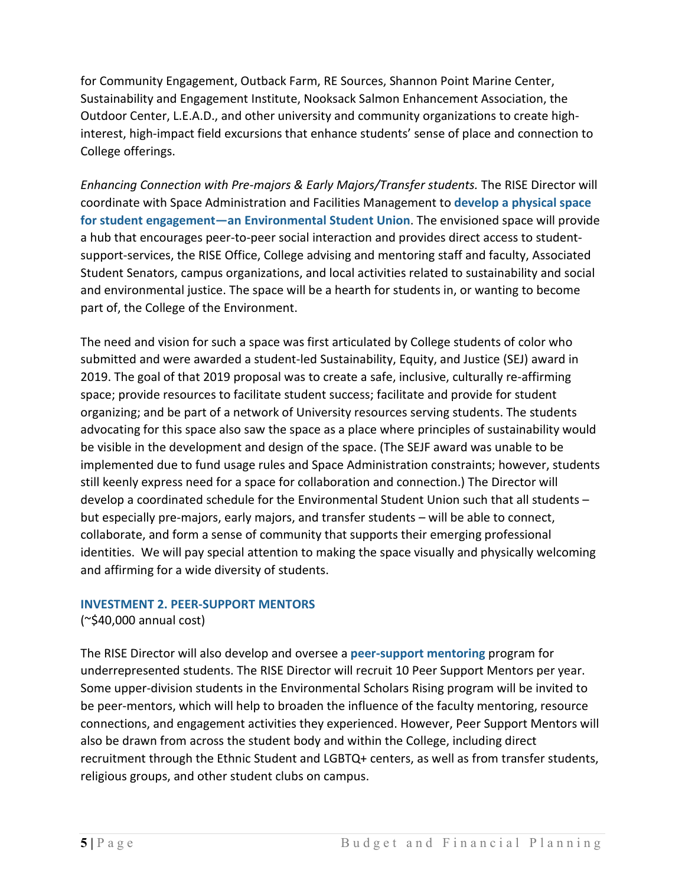for Community Engagement, Outback Farm, RE Sources, Shannon Point Marine Center, Sustainability and Engagement Institute, Nooksack Salmon Enhancement Association, the Outdoor Center, L.E.A.D., and other university and community organizations to create highinterest, high-impact field excursions that enhance students' sense of place and connection to College offerings.

*Enhancing Connection with Pre-majors & Early Majors/Transfer students.* The RISE Director will coordinate with Space Administration and Facilities Management to **develop a physical space for student engagement—an Environmental Student Union**. The envisioned space will provide a hub that encourages peer-to-peer social interaction and provides direct access to studentsupport-services, the RISE Office, College advising and mentoring staff and faculty, Associated Student Senators, campus organizations, and local activities related to sustainability and social and environmental justice. The space will be a hearth for students in, or wanting to become part of, the College of the Environment.

The need and vision for such a space was first articulated by College students of color who submitted and were awarded a student-led Sustainability, Equity, and Justice (SEJ) award in 2019. The goal of that 2019 proposal was to create a safe, inclusive, culturally re-affirming space; provide resources to facilitate student success; facilitate and provide for student organizing; and be part of a network of University resources serving students. The students advocating for this space also saw the space as a place where principles of sustainability would be visible in the development and design of the space. (The SEJF award was unable to be implemented due to fund usage rules and Space Administration constraints; however, students still keenly express need for a space for collaboration and connection.) The Director will develop a coordinated schedule for the Environmental Student Union such that all students – but especially pre-majors, early majors, and transfer students – will be able to connect, collaborate, and form a sense of community that supports their emerging professional identities. We will pay special attention to making the space visually and physically welcoming and affirming for a wide diversity of students.

#### **INVESTMENT 2. PEER-SUPPORT MENTORS**

(~\$40,000 annual cost)

The RISE Director will also develop and oversee a **peer-support mentoring** program for underrepresented students. The RISE Director will recruit 10 Peer Support Mentors per year. Some upper-division students in the Environmental Scholars Rising program will be invited to be peer-mentors, which will help to broaden the influence of the faculty mentoring, resource connections, and engagement activities they experienced. However, Peer Support Mentors will also be drawn from across the student body and within the College, including direct recruitment through the Ethnic Student and LGBTQ+ centers, as well as from transfer students, religious groups, and other student clubs on campus.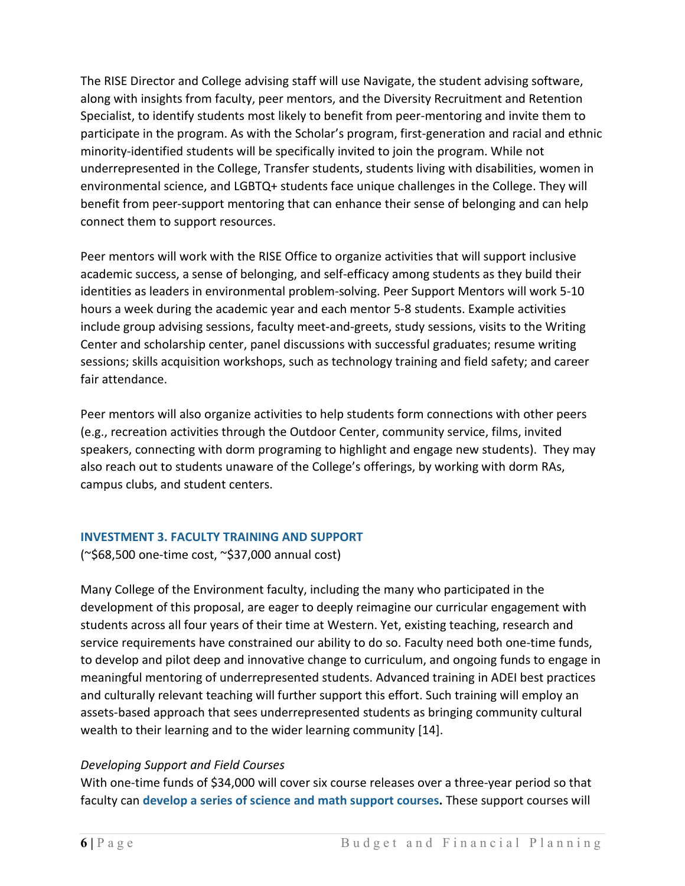The RISE Director and College advising staff will use Navigate, the student advising software, along with insights from faculty, peer mentors, and the Diversity Recruitment and Retention Specialist, to identify students most likely to benefit from peer-mentoring and invite them to participate in the program. As with the Scholar's program, first-generation and racial and ethnic minority-identified students will be specifically invited to join the program. While not underrepresented in the College, Transfer students, students living with disabilities, women in environmental science, and LGBTQ+ students face unique challenges in the College. They will benefit from peer-support mentoring that can enhance their sense of belonging and can help connect them to support resources.

Peer mentors will work with the RISE Office to organize activities that will support inclusive academic success, a sense of belonging, and self-efficacy among students as they build their identities as leaders in environmental problem-solving. Peer Support Mentors will work 5-10 hours a week during the academic year and each mentor 5-8 students. Example activities include group advising sessions, faculty meet-and-greets, study sessions, visits to the Writing Center and scholarship center, panel discussions with successful graduates; resume writing sessions; skills acquisition workshops, such as technology training and field safety; and career fair attendance.

Peer mentors will also organize activities to help students form connections with other peers (e.g., recreation activities through the Outdoor Center, community service, films, invited speakers, connecting with dorm programing to highlight and engage new students). They may also reach out to students unaware of the College's offerings, by working with dorm RAs, campus clubs, and student centers.

### **INVESTMENT 3. FACULTY TRAINING AND SUPPORT**

(~\$68,500 one-time cost, ~\$37,000 annual cost)

Many College of the Environment faculty, including the many who participated in the development of this proposal, are eager to deeply reimagine our curricular engagement with students across all four years of their time at Western. Yet, existing teaching, research and service requirements have constrained our ability to do so. Faculty need both one-time funds, to develop and pilot deep and innovative change to curriculum, and ongoing funds to engage in meaningful mentoring of underrepresented students. Advanced training in ADEI best practices and culturally relevant teaching will further support this effort. Such training will employ an assets-based approach that sees underrepresented students as bringing community cultural wealth to their learning and to the wider learning community [14].

### *Developing Support and Field Courses*

With one-time funds of \$34,000 will cover six course releases over a three-year period so that faculty can **develop a series of science and math support courses.** These support courses will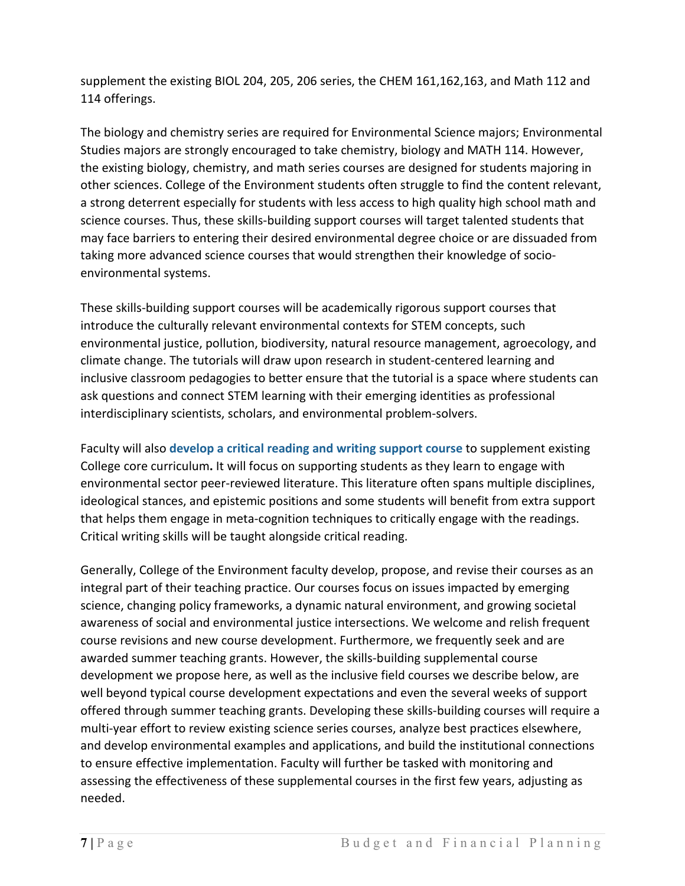supplement the existing BIOL 204, 205, 206 series, the CHEM 161,162,163, and Math 112 and 114 offerings.

The biology and chemistry series are required for Environmental Science majors; Environmental Studies majors are strongly encouraged to take chemistry, biology and MATH 114. However, the existing biology, chemistry, and math series courses are designed for students majoring in other sciences. College of the Environment students often struggle to find the content relevant, a strong deterrent especially for students with less access to high quality high school math and science courses. Thus, these skills-building support courses will target talented students that may face barriers to entering their desired environmental degree choice or are dissuaded from taking more advanced science courses that would strengthen their knowledge of socioenvironmental systems.

These skills-building support courses will be academically rigorous support courses that introduce the culturally relevant environmental contexts for STEM concepts, such environmental justice, pollution, biodiversity, natural resource management, agroecology, and climate change. The tutorials will draw upon research in student-centered learning and inclusive classroom pedagogies to better ensure that the tutorial is a space where students can ask questions and connect STEM learning with their emerging identities as professional interdisciplinary scientists, scholars, and environmental problem-solvers.

Faculty will also **develop a critical reading and writing support course** to supplement existing College core curriculum**.** It will focus on supporting students as they learn to engage with environmental sector peer-reviewed literature. This literature often spans multiple disciplines, ideological stances, and epistemic positions and some students will benefit from extra support that helps them engage in meta-cognition techniques to critically engage with the readings. Critical writing skills will be taught alongside critical reading.

Generally, College of the Environment faculty develop, propose, and revise their courses as an integral part of their teaching practice. Our courses focus on issues impacted by emerging science, changing policy frameworks, a dynamic natural environment, and growing societal awareness of social and environmental justice intersections. We welcome and relish frequent course revisions and new course development. Furthermore, we frequently seek and are awarded summer teaching grants. However, the skills-building supplemental course development we propose here, as well as the inclusive field courses we describe below, are well beyond typical course development expectations and even the several weeks of support offered through summer teaching grants. Developing these skills-building courses will require a multi-year effort to review existing science series courses, analyze best practices elsewhere, and develop environmental examples and applications, and build the institutional connections to ensure effective implementation. Faculty will further be tasked with monitoring and assessing the effectiveness of these supplemental courses in the first few years, adjusting as needed.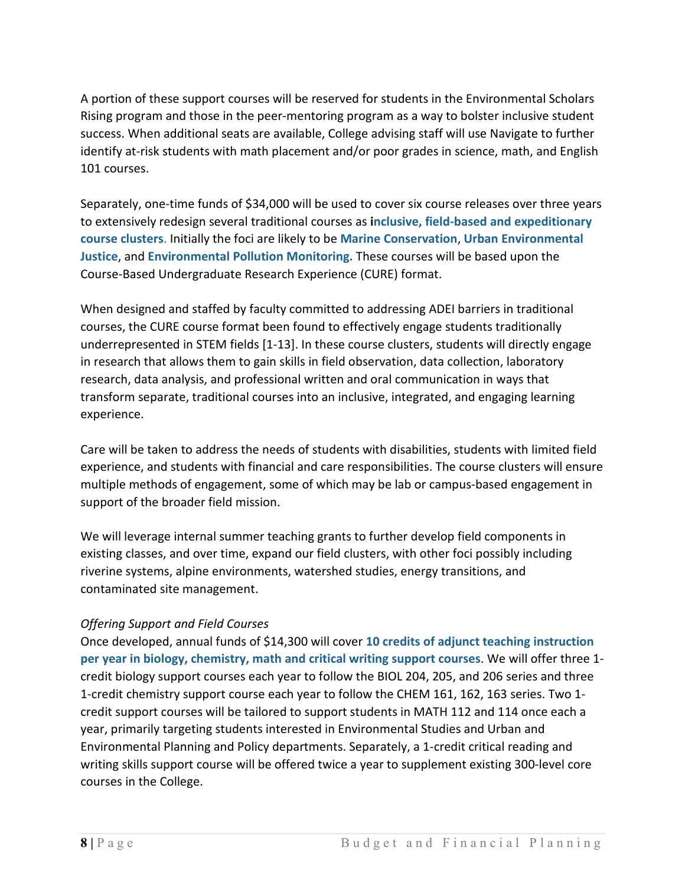A portion of these support courses will be reserved for students in the Environmental Scholars Rising program and those in the peer-mentoring program as a way to bolster inclusive student success. When additional seats are available, College advising staff will use Navigate to further identify at-risk students with math placement and/or poor grades in science, math, and English 101 courses.

Separately, one-time funds of \$34,000 will be used to cover six course releases over three years to extensively redesign several traditional courses as **inclusive, field-based and expeditionary course clusters**. Initially the foci are likely to be **Marine Conservation**, **Urban Environmental Justice**, and **Environmental Pollution Monitoring.** These courses will be based upon the Course-Based Undergraduate Research Experience (CURE) format.

When designed and staffed by faculty committed to addressing ADEI barriers in traditional courses, the CURE course format been found to effectively engage students traditionally underrepresented in STEM fields [1-13]. In these course clusters, students will directly engage in research that allows them to gain skills in field observation, data collection, laboratory research, data analysis, and professional written and oral communication in ways that transform separate, traditional courses into an inclusive, integrated, and engaging learning experience.

Care will be taken to address the needs of students with disabilities, students with limited field experience, and students with financial and care responsibilities. The course clusters will ensure multiple methods of engagement, some of which may be lab or campus-based engagement in support of the broader field mission.

We will leverage internal summer teaching grants to further develop field components in existing classes, and over time, expand our field clusters, with other foci possibly including riverine systems, alpine environments, watershed studies, energy transitions, and contaminated site management.

### *Offering Support and Field Courses*

Once developed, annual funds of \$14,300 will cover **10 credits of adjunct teaching instruction per year in biology, chemistry, math and critical writing support courses**. We will offer three 1 credit biology support courses each year to follow the BIOL 204, 205, and 206 series and three 1-credit chemistry support course each year to follow the CHEM 161, 162, 163 series. Two 1 credit support courses will be tailored to support students in MATH 112 and 114 once each a year, primarily targeting students interested in Environmental Studies and Urban and Environmental Planning and Policy departments. Separately, a 1-credit critical reading and writing skills support course will be offered twice a year to supplement existing 300-level core courses in the College.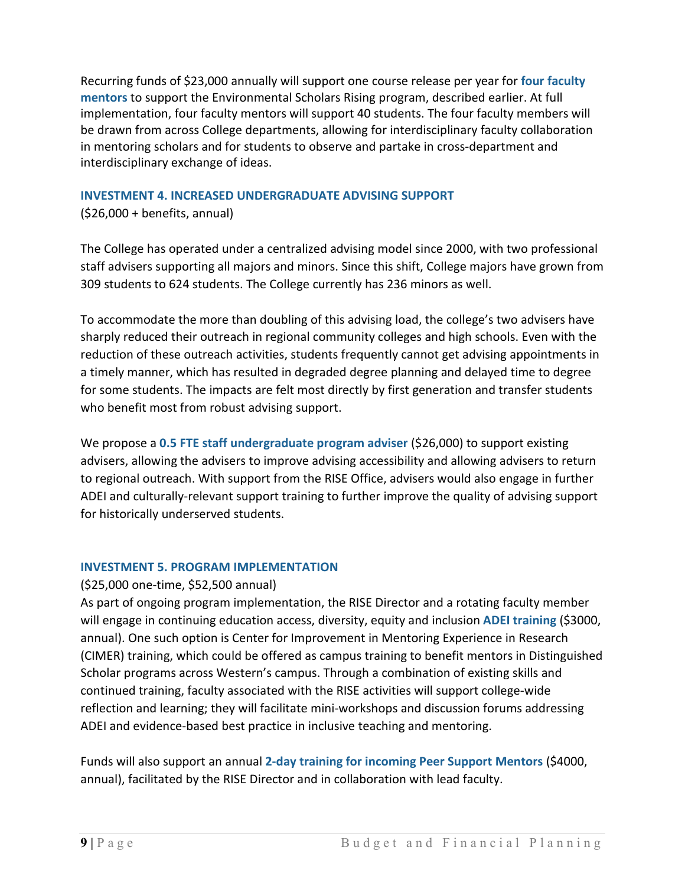Recurring funds of \$23,000 annually will support one course release per year for **four faculty mentors** to support the Environmental Scholars Rising program, described earlier. At full implementation, four faculty mentors will support 40 students. The four faculty members will be drawn from across College departments, allowing for interdisciplinary faculty collaboration in mentoring scholars and for students to observe and partake in cross-department and interdisciplinary exchange of ideas.

### **INVESTMENT 4. INCREASED UNDERGRADUATE ADVISING SUPPORT**

(\$26,000 + benefits, annual)

The College has operated under a centralized advising model since 2000, with two professional staff advisers supporting all majors and minors. Since this shift, College majors have grown from 309 students to 624 students. The College currently has 236 minors as well.

To accommodate the more than doubling of this advising load, the college's two advisers have sharply reduced their outreach in regional community colleges and high schools. Even with the reduction of these outreach activities, students frequently cannot get advising appointments in a timely manner, which has resulted in degraded degree planning and delayed time to degree for some students. The impacts are felt most directly by first generation and transfer students who benefit most from robust advising support.

We propose a **0.5 FTE staff undergraduate program adviser** (\$26,000) to support existing advisers, allowing the advisers to improve advising accessibility and allowing advisers to return to regional outreach. With support from the RISE Office, advisers would also engage in further ADEI and culturally-relevant support training to further improve the quality of advising support for historically underserved students.

### **INVESTMENT 5. PROGRAM IMPLEMENTATION**

#### (\$25,000 one-time, \$52,500 annual)

As part of ongoing program implementation, the RISE Director and a rotating faculty member will engage in continuing education access, diversity, equity and inclusion **ADEI training** (\$3000, annual). One such option is Center for Improvement in Mentoring Experience in Research (CIMER) training, which could be offered as campus training to benefit mentors in Distinguished Scholar programs across Western's campus. Through a combination of existing skills and continued training, faculty associated with the RISE activities will support college-wide reflection and learning; they will facilitate mini-workshops and discussion forums addressing ADEI and evidence-based best practice in inclusive teaching and mentoring.

Funds will also support an annual **2-day training for incoming Peer Support Mentors** (\$4000, annual), facilitated by the RISE Director and in collaboration with lead faculty.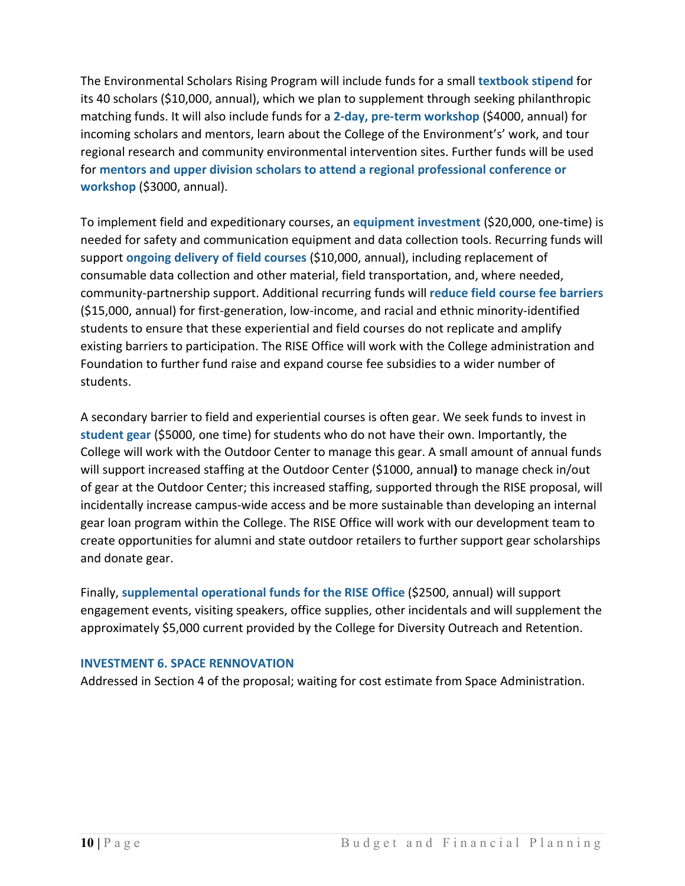The Environmental Scholars Rising Program will include funds for a small **textbook stipend** for its 40 scholars (\$10,000, annual), which we plan to supplement through seeking philanthropic matching funds. It will also include funds for a **2-day, pre-term workshop** (\$4000, annual) for incoming scholars and mentors, learn about the College of the Environment's' work, and tour regional research and community environmental intervention sites. Further funds will be used for **mentors and upper division scholars to attend a regional professional conference or workshop** (\$3000, annual).

To implement field and expeditionary courses, an **equipment investment** (\$20,000, one-time) is needed for safety and communication equipment and data collection tools. Recurring funds will support **ongoing delivery of field courses** (\$10,000, annual), including replacement of consumable data collection and other material, field transportation, and, where needed, community-partnership support. Additional recurring funds will **reduce field course fee barriers**  (\$15,000, annual) for first-generation, low-income, and racial and ethnic minority-identified students to ensure that these experiential and field courses do not replicate and amplify existing barriers to participation. The RISE Office will work with the College administration and Foundation to further fund raise and expand course fee subsidies to a wider number of students.

A secondary barrier to field and experiential courses is often gear. We seek funds to invest in **student gear** (\$5000, one time) for students who do not have their own. Importantly, the College will work with the Outdoor Center to manage this gear. A small amount of annual funds will support increased staffing at the Outdoor Center (\$1000, annual**)** to manage check in/out of gear at the Outdoor Center; this increased staffing, supported through the RISE proposal, will incidentally increase campus-wide access and be more sustainable than developing an internal gear loan program within the College. The RISE Office will work with our development team to create opportunities for alumni and state outdoor retailers to further support gear scholarships and donate gear.

Finally, **supplemental operational funds for the RISE Office** (\$2500, annual) will support engagement events, visiting speakers, office supplies, other incidentals and will supplement the approximately \$5,000 current provided by the College for Diversity Outreach and Retention.

#### **INVESTMENT 6. SPACE RENNOVATION**

Addressed in Section 4 of the proposal; waiting for cost estimate from Space Administration.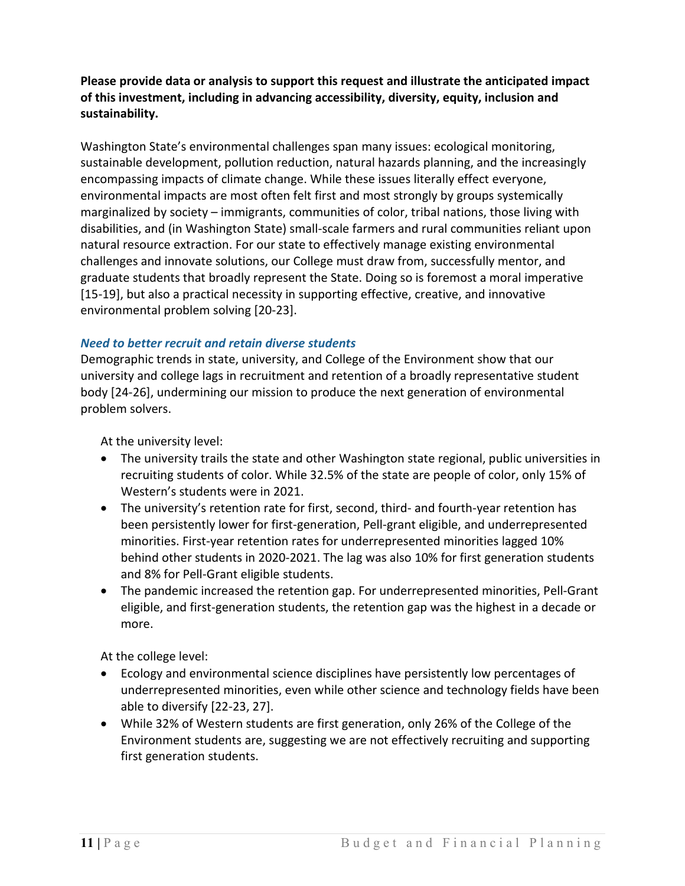**Please provide data or analysis to support this request and illustrate the anticipated impact of this investment, including in advancing accessibility, diversity, equity, inclusion and sustainability.**

Washington State's environmental challenges span many issues: ecological monitoring, sustainable development, pollution reduction, natural hazards planning, and the increasingly encompassing impacts of climate change. While these issues literally effect everyone, environmental impacts are most often felt first and most strongly by groups systemically marginalized by society – immigrants, communities of color, tribal nations, those living with disabilities, and (in Washington State) small-scale farmers and rural communities reliant upon natural resource extraction. For our state to effectively manage existing environmental challenges and innovate solutions, our College must draw from, successfully mentor, and graduate students that broadly represent the State. Doing so is foremost a moral imperative [15-19], but also a practical necessity in supporting effective, creative, and innovative environmental problem solving [20-23].

### *Need to better recruit and retain diverse students*

Demographic trends in state, university, and College of the Environment show that our university and college lags in recruitment and retention of a broadly representative student body [24-26], undermining our mission to produce the next generation of environmental problem solvers.

At the university level:

- The university trails the state and other Washington state regional, public universities in recruiting students of color. While 32.5% of the state are people of color, only 15% of Western's students were in 2021.
- The university's retention rate for first, second, third- and fourth-year retention has been persistently lower for first-generation, Pell-grant eligible, and underrepresented minorities. First-year retention rates for underrepresented minorities lagged 10% behind other students in 2020-2021. The lag was also 10% for first generation students and 8% for Pell-Grant eligible students.
- The pandemic increased the retention gap. For underrepresented minorities, Pell-Grant eligible, and first-generation students, the retention gap was the highest in a decade or more.

At the college level:

- Ecology and environmental science disciplines have persistently low percentages of underrepresented minorities, even while other science and technology fields have been able to diversify [22-23, 27].
- While 32% of Western students are first generation, only 26% of the College of the Environment students are, suggesting we are not effectively recruiting and supporting first generation students.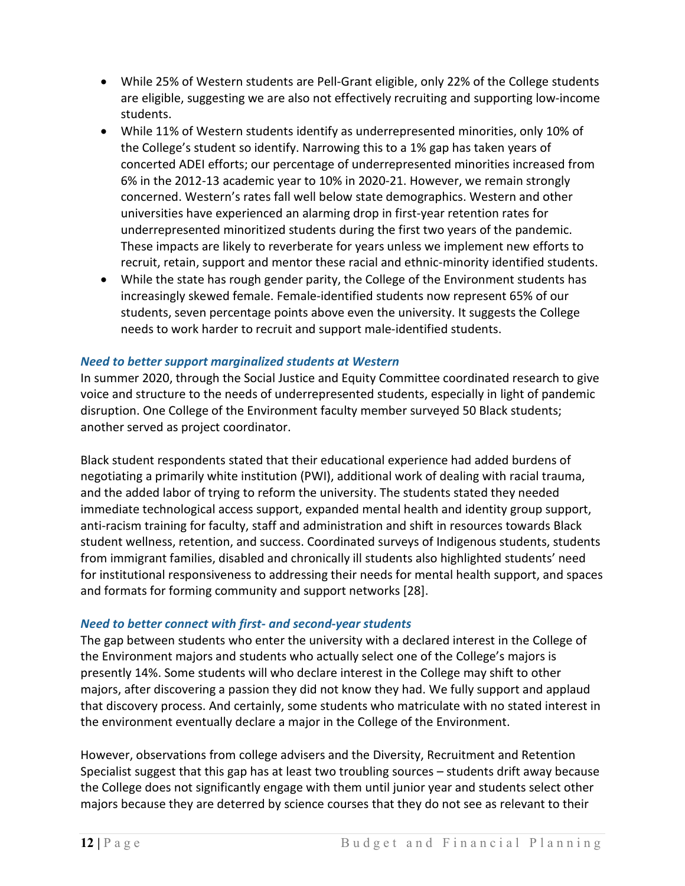- While 25% of Western students are Pell-Grant eligible, only 22% of the College students are eligible, suggesting we are also not effectively recruiting and supporting low-income students.
- While 11% of Western students identify as underrepresented minorities, only 10% of the College's student so identify. Narrowing this to a 1% gap has taken years of concerted ADEI efforts; our percentage of underrepresented minorities increased from 6% in the 2012-13 academic year to 10% in 2020-21. However, we remain strongly concerned. Western's rates fall well below state demographics. Western and other universities have experienced an alarming drop in first-year retention rates for underrepresented minoritized students during the first two years of the pandemic. These impacts are likely to reverberate for years unless we implement new efforts to recruit, retain, support and mentor these racial and ethnic-minority identified students.
- While the state has rough gender parity, the College of the Environment students has increasingly skewed female. Female-identified students now represent 65% of our students, seven percentage points above even the university. It suggests the College needs to work harder to recruit and support male-identified students.

### *Need to better support marginalized students at Western*

In summer 2020, through the Social Justice and Equity Committee coordinated research to give voice and structure to the needs of underrepresented students, especially in light of pandemic disruption. One College of the Environment faculty member surveyed 50 Black students; another served as project coordinator.

Black student respondents stated that their educational experience had added burdens of negotiating a primarily white institution (PWI), additional work of dealing with racial trauma, and the added labor of trying to reform the university. The students stated they needed immediate technological access support, expanded mental health and identity group support, anti-racism training for faculty, staff and administration and shift in resources towards Black student wellness, retention, and success. Coordinated surveys of Indigenous students, students from immigrant families, disabled and chronically ill students also highlighted students' need for institutional responsiveness to addressing their needs for mental health support, and spaces and formats for forming community and support networks [28].

### *Need to better connect with first- and second-year students*

The gap between students who enter the university with a declared interest in the College of the Environment majors and students who actually select one of the College's majors is presently 14%. Some students will who declare interest in the College may shift to other majors, after discovering a passion they did not know they had. We fully support and applaud that discovery process. And certainly, some students who matriculate with no stated interest in the environment eventually declare a major in the College of the Environment.

However, observations from college advisers and the Diversity, Recruitment and Retention Specialist suggest that this gap has at least two troubling sources – students drift away because the College does not significantly engage with them until junior year and students select other majors because they are deterred by science courses that they do not see as relevant to their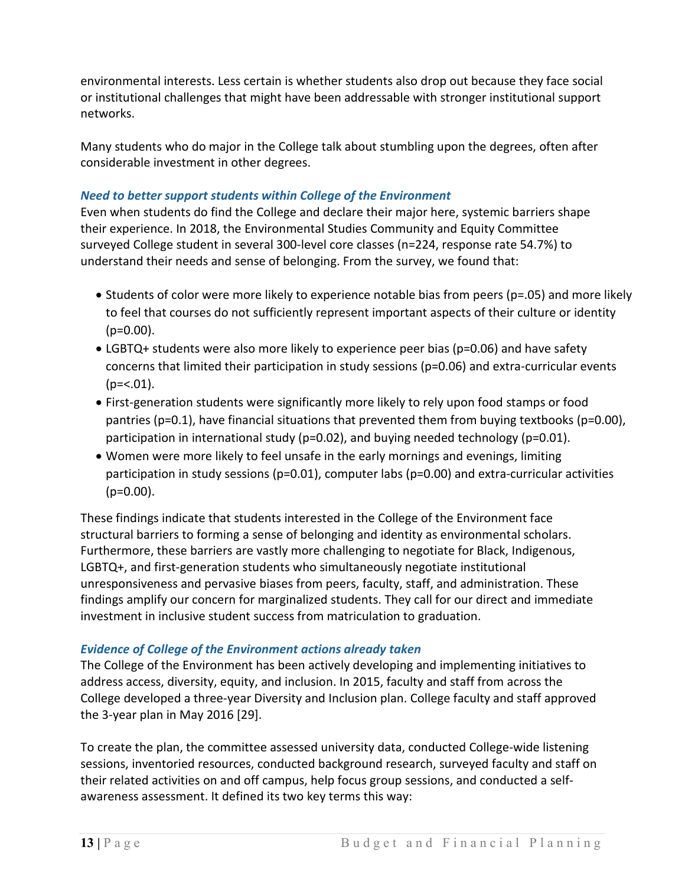environmental interests. Less certain is whether students also drop out because they face social or institutional challenges that might have been addressable with stronger institutional support networks.

Many students who do major in the College talk about stumbling upon the degrees, often after considerable investment in other degrees.

### *Need to better support students within College of the Environment*

Even when students do find the College and declare their major here, systemic barriers shape their experience. In 2018, the Environmental Studies Community and Equity Committee surveyed College student in several 300-level core classes (n=224, response rate 54.7%) to understand their needs and sense of belonging. From the survey, we found that:

- Students of color were more likely to experience notable bias from peers (p=.05) and more likely to feel that courses do not sufficiently represent important aspects of their culture or identity  $(p=0.00)$ .
- LGBTQ+ students were also more likely to experience peer bias (p=0.06) and have safety concerns that limited their participation in study sessions (p=0.06) and extra-curricular events  $(p=<.01)$ .
- First-generation students were significantly more likely to rely upon food stamps or food pantries (p=0.1), have financial situations that prevented them from buying textbooks (p=0.00), participation in international study (p=0.02), and buying needed technology (p=0.01).
- Women were more likely to feel unsafe in the early mornings and evenings, limiting participation in study sessions (p=0.01), computer labs (p=0.00) and extra-curricular activities (p=0.00).

These findings indicate that students interested in the College of the Environment face structural barriers to forming a sense of belonging and identity as environmental scholars. Furthermore, these barriers are vastly more challenging to negotiate for Black, Indigenous, LGBTQ+, and first-generation students who simultaneously negotiate institutional unresponsiveness and pervasive biases from peers, faculty, staff, and administration. These findings amplify our concern for marginalized students. They call for our direct and immediate investment in inclusive student success from matriculation to graduation.

### *Evidence of College of the Environment actions already taken*

The College of the Environment has been actively developing and implementing initiatives to address access, diversity, equity, and inclusion. In 2015, faculty and staff from across the College developed a three-year Diversity and Inclusion plan. College faculty and staff approved the 3-year plan in May 2016 [29].

To create the plan, the committee assessed university data, conducted College-wide listening sessions, inventoried resources, conducted background research, surveyed faculty and staff on their related activities on and off campus, help focus group sessions, and conducted a selfawareness assessment. It defined its two key terms this way: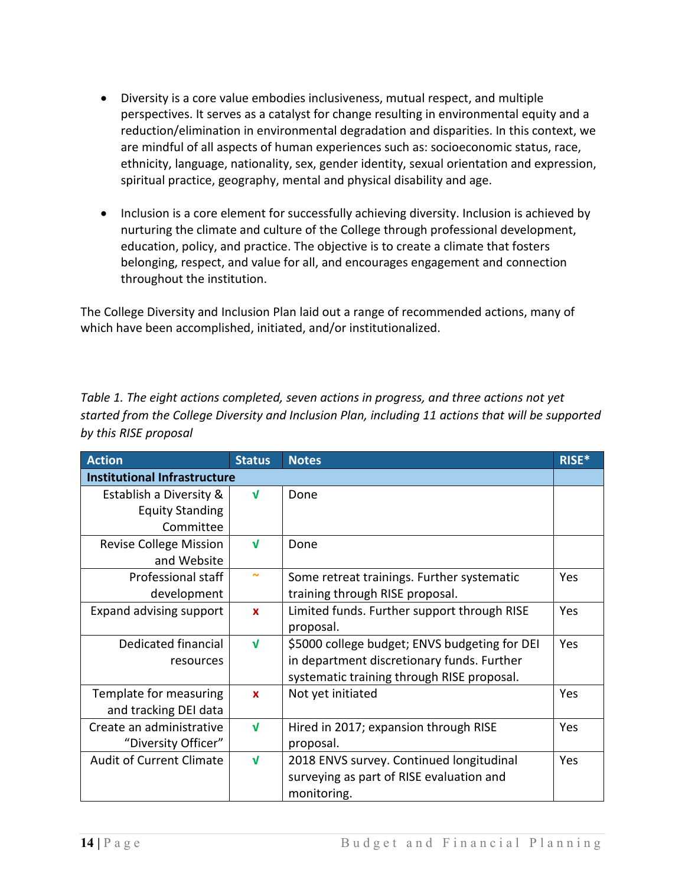- Diversity is a core value embodies inclusiveness, mutual respect, and multiple perspectives. It serves as a catalyst for change resulting in environmental equity and a reduction/elimination in environmental degradation and disparities. In this context, we are mindful of all aspects of human experiences such as: socioeconomic status, race, ethnicity, language, nationality, sex, gender identity, sexual orientation and expression, spiritual practice, geography, mental and physical disability and age.
- Inclusion is a core element for successfully achieving diversity. Inclusion is achieved by nurturing the climate and culture of the College through professional development, education, policy, and practice. The objective is to create a climate that fosters belonging, respect, and value for all, and encourages engagement and connection throughout the institution.

The College Diversity and Inclusion Plan laid out a range of recommended actions, many of which have been accomplished, initiated, and/or institutionalized.

*Table 1. The eight actions completed, seven actions in progress, and three actions not yet started from the College Diversity and Inclusion Plan, including 11 actions that will be supported by this RISE proposal* 

| <b>Action</b>                       | <b>Status</b> | <b>Notes</b>                                  | RISE* |  |  |  |
|-------------------------------------|---------------|-----------------------------------------------|-------|--|--|--|
| <b>Institutional Infrastructure</b> |               |                                               |       |  |  |  |
| Establish a Diversity &             | $\sqrt{ }$    | Done                                          |       |  |  |  |
| <b>Equity Standing</b>              |               |                                               |       |  |  |  |
| Committee                           |               |                                               |       |  |  |  |
| <b>Revise College Mission</b>       | V             | Done                                          |       |  |  |  |
| and Website                         |               |                                               |       |  |  |  |
| Professional staff                  | $\sim$        | Some retreat trainings. Further systematic    | Yes   |  |  |  |
| development                         |               | training through RISE proposal.               |       |  |  |  |
| Expand advising support             | $\mathbf x$   | Limited funds. Further support through RISE   | Yes   |  |  |  |
|                                     |               | proposal.                                     |       |  |  |  |
| Dedicated financial                 | $\sqrt{ }$    | \$5000 college budget; ENVS budgeting for DEI | Yes   |  |  |  |
| resources                           |               | in department discretionary funds. Further    |       |  |  |  |
|                                     |               | systematic training through RISE proposal.    |       |  |  |  |
| Template for measuring              | $\mathbf x$   | Not yet initiated                             | Yes   |  |  |  |
| and tracking DEI data               |               |                                               |       |  |  |  |
| Create an administrative            | $\sqrt{ }$    | Hired in 2017; expansion through RISE         | Yes   |  |  |  |
| "Diversity Officer"                 |               | proposal.                                     |       |  |  |  |
| <b>Audit of Current Climate</b>     | $\mathbf{v}$  | 2018 ENVS survey. Continued longitudinal      | Yes   |  |  |  |
|                                     |               | surveying as part of RISE evaluation and      |       |  |  |  |
|                                     |               | monitoring.                                   |       |  |  |  |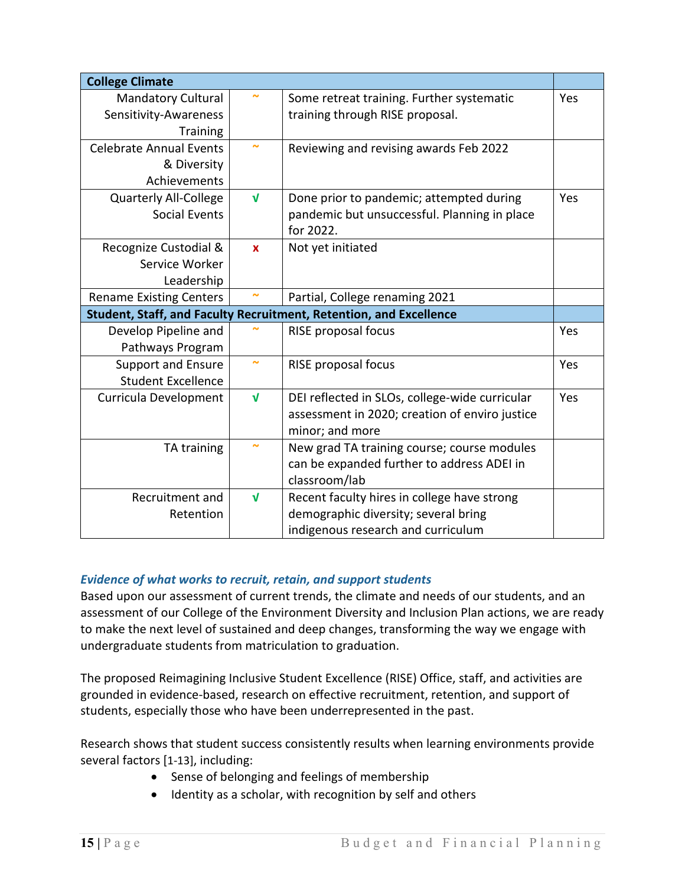| <b>College Climate</b>                                             |                         |                                                |     |  |  |  |
|--------------------------------------------------------------------|-------------------------|------------------------------------------------|-----|--|--|--|
| <b>Mandatory Cultural</b>                                          |                         | Some retreat training. Further systematic      | Yes |  |  |  |
| Sensitivity-Awareness                                              |                         | training through RISE proposal.                |     |  |  |  |
| <b>Training</b>                                                    |                         |                                                |     |  |  |  |
| <b>Celebrate Annual Events</b>                                     |                         | Reviewing and revising awards Feb 2022         |     |  |  |  |
| & Diversity                                                        |                         |                                                |     |  |  |  |
| Achievements                                                       |                         |                                                |     |  |  |  |
| <b>Quarterly All-College</b>                                       | $\sqrt{ }$              | Done prior to pandemic; attempted during       | Yes |  |  |  |
| <b>Social Events</b>                                               |                         | pandemic but unsuccessful. Planning in place   |     |  |  |  |
|                                                                    |                         | for 2022.                                      |     |  |  |  |
| Recognize Custodial &                                              | $\mathbf{x}$            | Not yet initiated                              |     |  |  |  |
| Service Worker                                                     |                         |                                                |     |  |  |  |
| Leadership                                                         |                         |                                                |     |  |  |  |
| Partial, College renaming 2021<br><b>Rename Existing Centers</b>   |                         |                                                |     |  |  |  |
| Student, Staff, and Faculty Recruitment, Retention, and Excellence |                         |                                                |     |  |  |  |
| Develop Pipeline and                                               |                         | RISE proposal focus                            | Yes |  |  |  |
| Pathways Program                                                   |                         |                                                |     |  |  |  |
| <b>Support and Ensure</b>                                          | $\tilde{ }$             | RISE proposal focus                            | Yes |  |  |  |
| <b>Student Excellence</b>                                          |                         |                                                |     |  |  |  |
| Curricula Development                                              | $\sqrt{ }$              | DEI reflected in SLOs, college-wide curricular | Yes |  |  |  |
|                                                                    |                         | assessment in 2020; creation of enviro justice |     |  |  |  |
|                                                                    |                         | minor; and more                                |     |  |  |  |
| TA training                                                        |                         | New grad TA training course; course modules    |     |  |  |  |
|                                                                    |                         | can be expanded further to address ADEI in     |     |  |  |  |
|                                                                    |                         | classroom/lab                                  |     |  |  |  |
| Recruitment and                                                    | $\overline{\mathsf{V}}$ | Recent faculty hires in college have strong    |     |  |  |  |
| Retention                                                          |                         | demographic diversity; several bring           |     |  |  |  |
|                                                                    |                         |                                                |     |  |  |  |

### *Evidence of what works to recruit, retain, and support students*

Based upon our assessment of current trends, the climate and needs of our students, and an assessment of our College of the Environment Diversity and Inclusion Plan actions, we are ready to make the next level of sustained and deep changes, transforming the way we engage with undergraduate students from matriculation to graduation.

The proposed Reimagining Inclusive Student Excellence (RISE) Office, staff, and activities are grounded in evidence-based, research on effective recruitment, retention, and support of students, especially those who have been underrepresented in the past.

Research shows that student success consistently results when learning environments provide several factors [1-13], including:

- Sense of belonging and feelings of membership
- Identity as a scholar, with recognition by self and others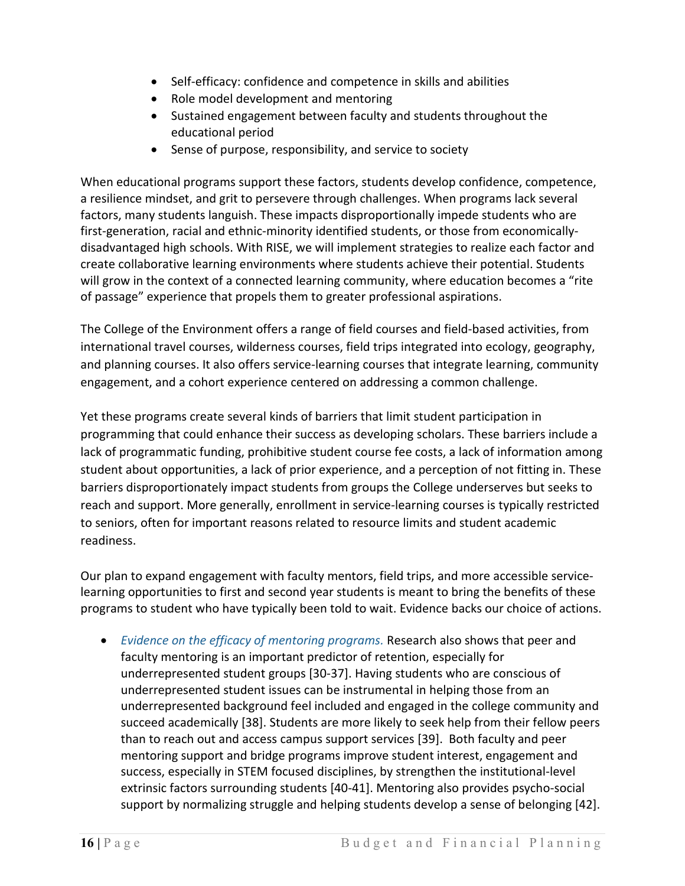- Self-efficacy: confidence and competence in skills and abilities
- Role model development and mentoring
- Sustained engagement between faculty and students throughout the educational period
- Sense of purpose, responsibility, and service to society

When educational programs support these factors, students develop confidence, competence, a resilience mindset, and grit to persevere through challenges. When programs lack several factors, many students languish. These impacts disproportionally impede students who are first-generation, racial and ethnic-minority identified students, or those from economicallydisadvantaged high schools. With RISE, we will implement strategies to realize each factor and create collaborative learning environments where students achieve their potential. Students will grow in the context of a connected learning community, where education becomes a "rite" of passage" experience that propels them to greater professional aspirations.

The College of the Environment offers a range of field courses and field-based activities, from international travel courses, wilderness courses, field trips integrated into ecology, geography, and planning courses. It also offers service-learning courses that integrate learning, community engagement, and a cohort experience centered on addressing a common challenge.

Yet these programs create several kinds of barriers that limit student participation in programming that could enhance their success as developing scholars. These barriers include a lack of programmatic funding, prohibitive student course fee costs, a lack of information among student about opportunities, a lack of prior experience, and a perception of not fitting in. These barriers disproportionately impact students from groups the College underserves but seeks to reach and support. More generally, enrollment in service-learning courses is typically restricted to seniors, often for important reasons related to resource limits and student academic readiness.

Our plan to expand engagement with faculty mentors, field trips, and more accessible servicelearning opportunities to first and second year students is meant to bring the benefits of these programs to student who have typically been told to wait. Evidence backs our choice of actions.

• *Evidence on the efficacy of mentoring programs.* Research also shows that peer and faculty mentoring is an important predictor of retention, especially for underrepresented student groups [30-37]. Having students who are conscious of underrepresented student issues can be instrumental in helping those from an underrepresented background feel included and engaged in the college community and succeed academically [38]. Students are more likely to seek help from their fellow peers than to reach out and access campus support services [39]. Both faculty and peer mentoring support and bridge programs improve student interest, engagement and success, especially in STEM focused disciplines, by strengthen the institutional-level extrinsic factors surrounding students [40-41]. Mentoring also provides psycho-social support by normalizing struggle and helping students develop a sense of belonging [42].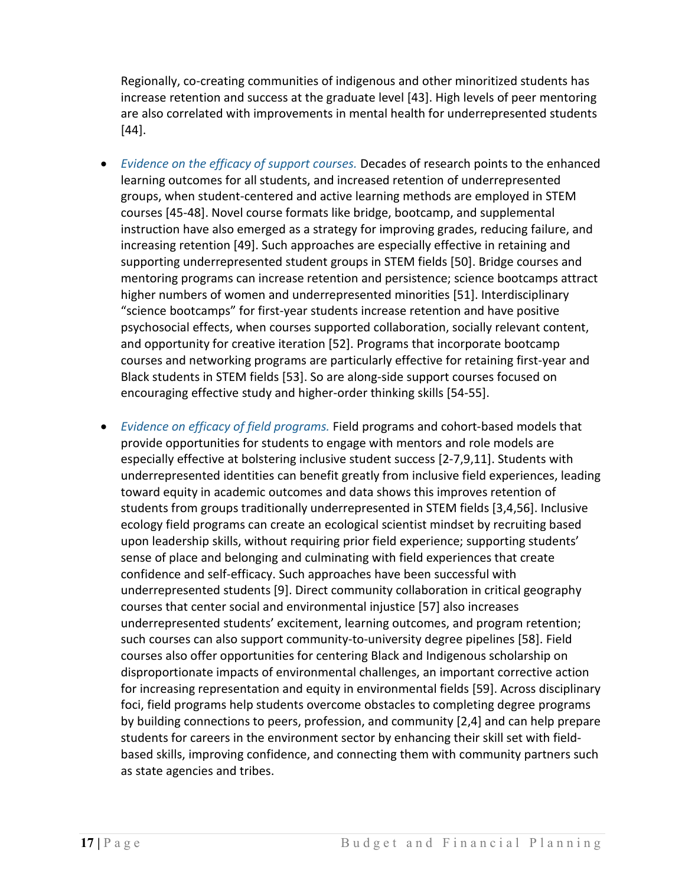Regionally, co-creating communities of indigenous and other minoritized students has increase retention and success at the graduate level [43]. High levels of peer mentoring are also correlated with improvements in mental health for underrepresented students [44].

- *Evidence on the efficacy of support courses.* Decades of research points to the enhanced learning outcomes for all students, and increased retention of underrepresented groups, when student-centered and active learning methods are employed in STEM courses [45-48]. Novel course formats like bridge, bootcamp, and supplemental instruction have also emerged as a strategy for improving grades, reducing failure, and increasing retention [49]. Such approaches are especially effective in retaining and supporting underrepresented student groups in STEM fields [50]. Bridge courses and mentoring programs can increase retention and persistence; science bootcamps attract higher numbers of women and underrepresented minorities [51]. Interdisciplinary "science bootcamps" for first-year students increase retention and have positive psychosocial effects, when courses supported collaboration, socially relevant content, and opportunity for creative iteration [52]. Programs that incorporate bootcamp courses and networking programs are particularly effective for retaining first-year and Black students in STEM fields [53]. So are along-side support courses focused on encouraging effective study and higher-order thinking skills [54-55].
- *Evidence on efficacy of field programs.* Field programs and cohort-based models that provide opportunities for students to engage with mentors and role models are especially effective at bolstering inclusive student success [2-7,9,11]. Students with underrepresented identities can benefit greatly from inclusive field experiences, leading toward equity in academic outcomes and data shows this improves retention of students from groups traditionally underrepresented in STEM fields [3,4,56]. Inclusive ecology field programs can create an ecological scientist mindset by recruiting based upon leadership skills, without requiring prior field experience; supporting students' sense of place and belonging and culminating with field experiences that create confidence and self-efficacy. Such approaches have been successful with underrepresented students [9]. Direct community collaboration in critical geography courses that center social and environmental injustice [57] also increases underrepresented students' excitement, learning outcomes, and program retention; such courses can also support community-to-university degree pipelines [58]. Field courses also offer opportunities for centering Black and Indigenous scholarship on disproportionate impacts of environmental challenges, an important corrective action for increasing representation and equity in environmental fields [59]. Across disciplinary foci, field programs help students overcome obstacles to completing degree programs by building connections to peers, profession, and community [2,4] and can help prepare students for careers in the environment sector by enhancing their skill set with fieldbased skills, improving confidence, and connecting them with community partners such as state agencies and tribes.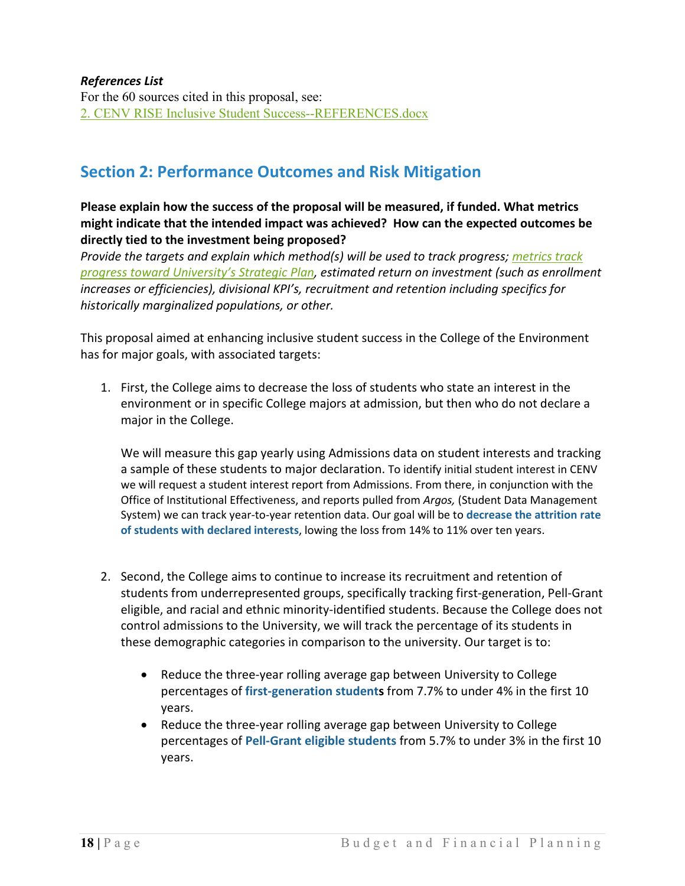### *References List*

For the 60 sources cited in this proposal, see: [2. CENV RISE Inclusive Student Success--REFERENCES.docx](https://wwu2.sharepoint.com/:w:/s/HCC-InclusiveStudentSuccessProposal2021-22/EWjxDquwBYZIgaawhtLYnkcBJu2cuYnNX35e4RFBkEtA8Q?e=UTeJw3)

### **Section 2: Performance Outcomes and Risk Mitigation**

### **Please explain how the success of the proposal will be measured, if funded. What metrics might indicate that the intended impact was achieved? How can the expected outcomes be directly tied to the investment being proposed?**

*Provide the targets and explain which method(s) will be used to track progress; [metrics track](https://provost.wwu.edu/overall-metrics)  progress toward [University's Strategic Plan,](https://provost.wwu.edu/overall-metrics) estimated return on investment (such as enrollment increases or efficiencies), divisional KPI's, recruitment and retention including specifics for historically marginalized populations, or other.*

This proposal aimed at enhancing inclusive student success in the College of the Environment has for major goals, with associated targets:

1. First, the College aims to decrease the loss of students who state an interest in the environment or in specific College majors at admission, but then who do not declare a major in the College.

We will measure this gap yearly using Admissions data on student interests and tracking a sample of these students to major declaration. To identify initial student interest in CENV we will request a student interest report from Admissions. From there, in conjunction with the Office of Institutional Effectiveness, and reports pulled from *Argos,* (Student Data Management System) we can track year-to-year retention data. Our goal will be to **decrease the attrition rate of students with declared interests**, lowing the loss from 14% to 11% over ten years.

- 2. Second, the College aims to continue to increase its recruitment and retention of students from underrepresented groups, specifically tracking first-generation, Pell-Grant eligible, and racial and ethnic minority-identified students. Because the College does not control admissions to the University, we will track the percentage of its students in these demographic categories in comparison to the university. Our target is to:
	- Reduce the three-year rolling average gap between University to College percentages of **first-generation students** from 7.7% to under 4% in the first 10 years.
	- Reduce the three-year rolling average gap between University to College percentages of **Pell-Grant eligible students** from 5.7% to under 3% in the first 10 years.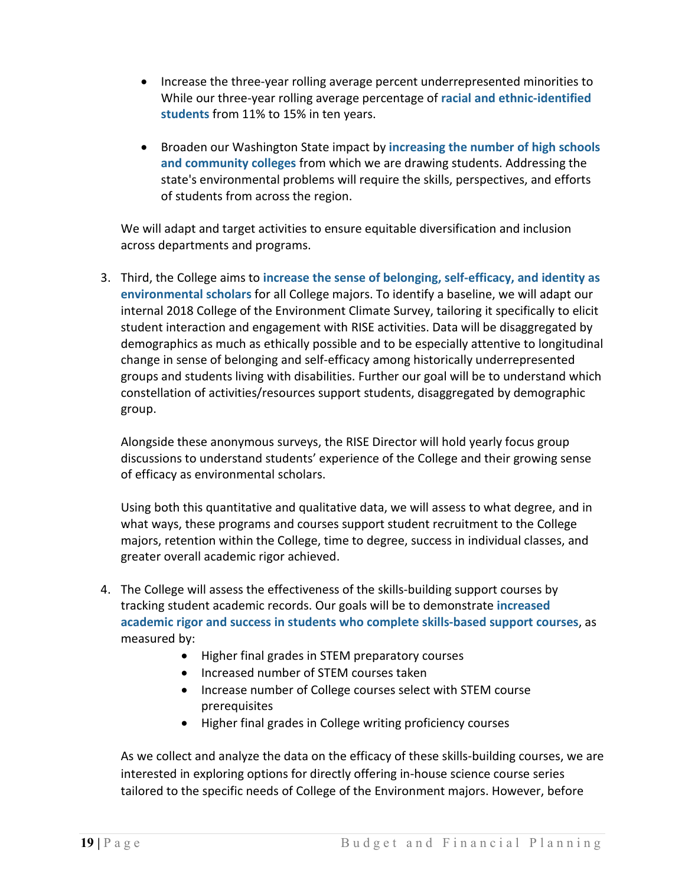- Increase the three-year rolling average percent underrepresented minorities to While our three-year rolling average percentage of **racial and ethnic-identified students** from 11% to 15% in ten years.
- Broaden our Washington State impact by **increasing the number of high schools and community colleges** from which we are drawing students. Addressing the state's environmental problems will require the skills, perspectives, and efforts of students from across the region.

We will adapt and target activities to ensure equitable diversification and inclusion across departments and programs.

3. Third, the College aims to **increase the sense of belonging, self-efficacy, and identity as environmental scholars** for all College majors. To identify a baseline, we will adapt our internal 2018 College of the Environment Climate Survey, tailoring it specifically to elicit student interaction and engagement with RISE activities. Data will be disaggregated by demographics as much as ethically possible and to be especially attentive to longitudinal change in sense of belonging and self-efficacy among historically underrepresented groups and students living with disabilities. Further our goal will be to understand which constellation of activities/resources support students, disaggregated by demographic group.

Alongside these anonymous surveys, the RISE Director will hold yearly focus group discussions to understand students' experience of the College and their growing sense of efficacy as environmental scholars.

Using both this quantitative and qualitative data, we will assess to what degree, and in what ways, these programs and courses support student recruitment to the College majors, retention within the College, time to degree, success in individual classes, and greater overall academic rigor achieved.

- 4. The College will assess the effectiveness of the skills-building support courses by tracking student academic records. Our goals will be to demonstrate **increased academic rigor and success in students who complete skills-based support courses**, as measured by:
	- Higher final grades in STEM preparatory courses
	- Increased number of STEM courses taken
	- Increase number of College courses select with STEM course prerequisites
	- Higher final grades in College writing proficiency courses

As we collect and analyze the data on the efficacy of these skills-building courses, we are interested in exploring options for directly offering in-house science course series tailored to the specific needs of College of the Environment majors. However, before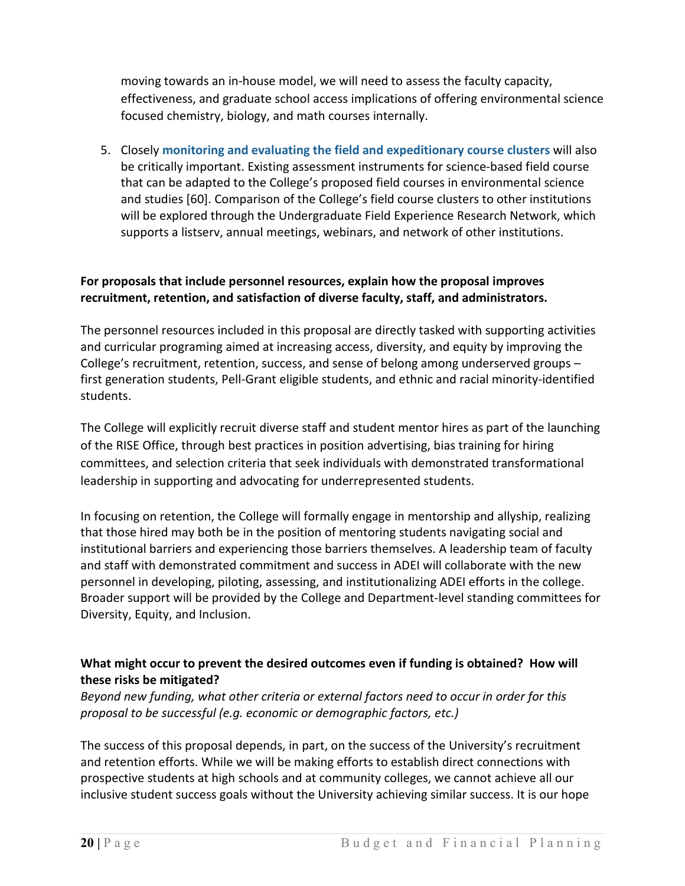moving towards an in-house model, we will need to assess the faculty capacity, effectiveness, and graduate school access implications of offering environmental science focused chemistry, biology, and math courses internally.

5. Closely **monitoring and evaluating the field and expeditionary course clusters** will also be critically important. Existing assessment instruments for science-based field course that can be adapted to the College's proposed field courses in environmental science and studies [60]. Comparison of the College's field course clusters to other institutions will be explored through the Undergraduate Field Experience Research Network, which supports a listserv, annual meetings, webinars, and network of other institutions.

### **For proposals that include personnel resources, explain how the proposal improves recruitment, retention, and satisfaction of diverse faculty, staff, and administrators.**

The personnel resources included in this proposal are directly tasked with supporting activities and curricular programing aimed at increasing access, diversity, and equity by improving the College's recruitment, retention, success, and sense of belong among underserved groups – first generation students, Pell-Grant eligible students, and ethnic and racial minority-identified students.

The College will explicitly recruit diverse staff and student mentor hires as part of the launching of the RISE Office, through best practices in position advertising, bias training for hiring committees, and selection criteria that seek individuals with demonstrated transformational leadership in supporting and advocating for underrepresented students.

In focusing on retention, the College will formally engage in mentorship and allyship, realizing that those hired may both be in the position of mentoring students navigating social and institutional barriers and experiencing those barriers themselves. A leadership team of faculty and staff with demonstrated commitment and success in ADEI will collaborate with the new personnel in developing, piloting, assessing, and institutionalizing ADEI efforts in the college. Broader support will be provided by the College and Department-level standing committees for Diversity, Equity, and Inclusion.

### **What might occur to prevent the desired outcomes even if funding is obtained? How will these risks be mitigated?**

*Beyond new funding, what other criteria or external factors need to occur in order for this proposal to be successful (e.g. economic or demographic factors, etc.)*

The success of this proposal depends, in part, on the success of the University's recruitment and retention efforts. While we will be making efforts to establish direct connections with prospective students at high schools and at community colleges, we cannot achieve all our inclusive student success goals without the University achieving similar success. It is our hope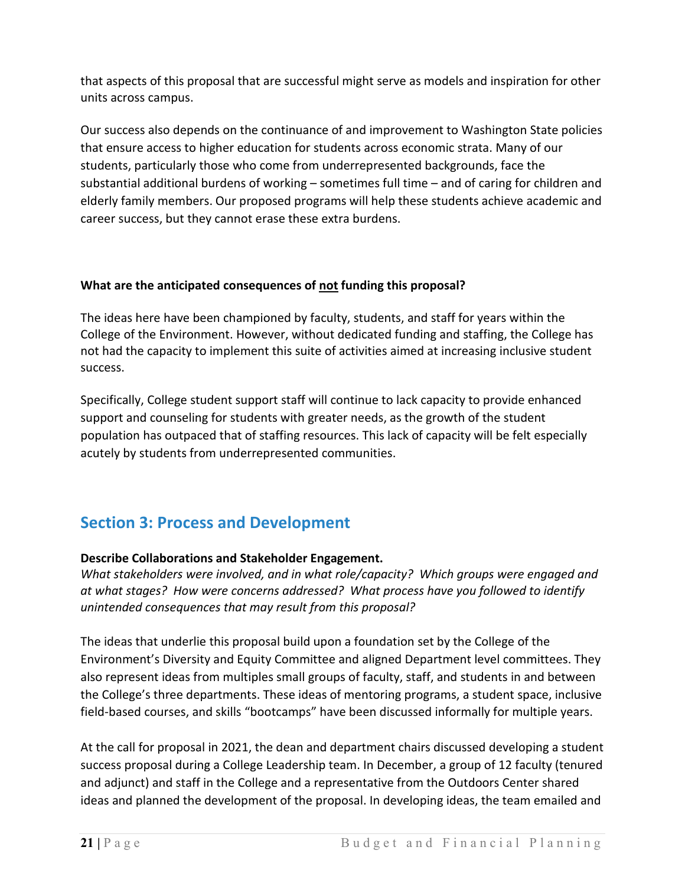that aspects of this proposal that are successful might serve as models and inspiration for other units across campus.

Our success also depends on the continuance of and improvement to Washington State policies that ensure access to higher education for students across economic strata. Many of our students, particularly those who come from underrepresented backgrounds, face the substantial additional burdens of working – sometimes full time – and of caring for children and elderly family members. Our proposed programs will help these students achieve academic and career success, but they cannot erase these extra burdens.

### **What are the anticipated consequences of not funding this proposal?**

The ideas here have been championed by faculty, students, and staff for years within the College of the Environment. However, without dedicated funding and staffing, the College has not had the capacity to implement this suite of activities aimed at increasing inclusive student success.

Specifically, College student support staff will continue to lack capacity to provide enhanced support and counseling for students with greater needs, as the growth of the student population has outpaced that of staffing resources. This lack of capacity will be felt especially acutely by students from underrepresented communities.

### **Section 3: Process and Development**

### **Describe Collaborations and Stakeholder Engagement.**

*What stakeholders were involved, and in what role/capacity? Which groups were engaged and at what stages? How were concerns addressed? What process have you followed to identify unintended consequences that may result from this proposal?*

The ideas that underlie this proposal build upon a foundation set by the College of the Environment's Diversity and Equity Committee and aligned Department level committees. They also represent ideas from multiples small groups of faculty, staff, and students in and between the College's three departments. These ideas of mentoring programs, a student space, inclusive field-based courses, and skills "bootcamps" have been discussed informally for multiple years.

At the call for proposal in 2021, the dean and department chairs discussed developing a student success proposal during a College Leadership team. In December, a group of 12 faculty (tenured and adjunct) and staff in the College and a representative from the Outdoors Center shared ideas and planned the development of the proposal. In developing ideas, the team emailed and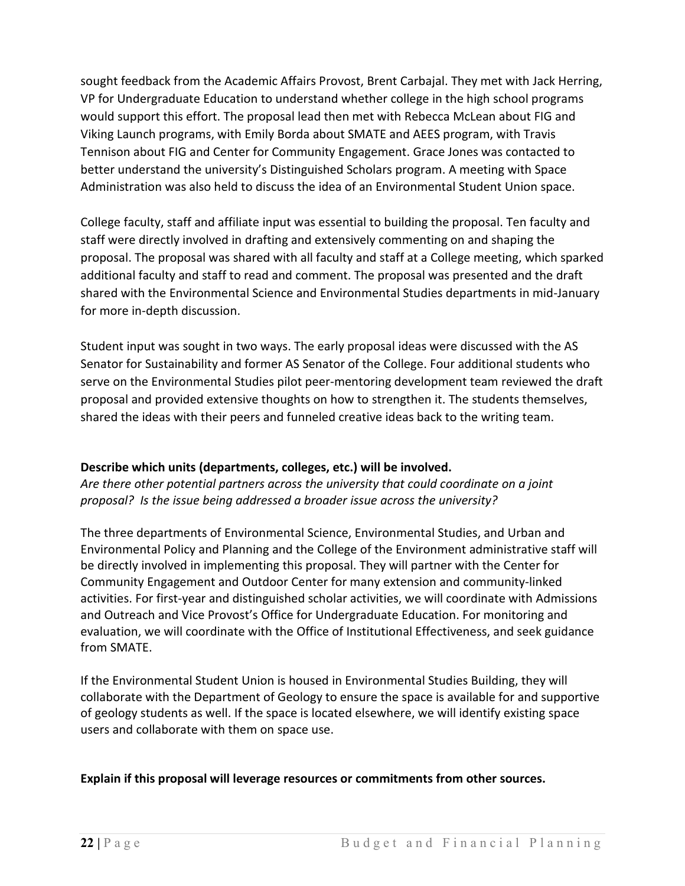sought feedback from the Academic Affairs Provost, Brent Carbajal. They met with Jack Herring, VP for Undergraduate Education to understand whether college in the high school programs would support this effort. The proposal lead then met with Rebecca McLean about FIG and Viking Launch programs, with Emily Borda about SMATE and AEES program, with Travis Tennison about FIG and Center for Community Engagement. Grace Jones was contacted to better understand the university's Distinguished Scholars program. A meeting with Space Administration was also held to discuss the idea of an Environmental Student Union space.

College faculty, staff and affiliate input was essential to building the proposal. Ten faculty and staff were directly involved in drafting and extensively commenting on and shaping the proposal. The proposal was shared with all faculty and staff at a College meeting, which sparked additional faculty and staff to read and comment. The proposal was presented and the draft shared with the Environmental Science and Environmental Studies departments in mid-January for more in-depth discussion.

Student input was sought in two ways. The early proposal ideas were discussed with the AS Senator for Sustainability and former AS Senator of the College. Four additional students who serve on the Environmental Studies pilot peer-mentoring development team reviewed the draft proposal and provided extensive thoughts on how to strengthen it. The students themselves, shared the ideas with their peers and funneled creative ideas back to the writing team.

### **Describe which units (departments, colleges, etc.) will be involved.**

*Are there other potential partners across the university that could coordinate on a joint proposal? Is the issue being addressed a broader issue across the university?*

The three departments of Environmental Science, Environmental Studies, and Urban and Environmental Policy and Planning and the College of the Environment administrative staff will be directly involved in implementing this proposal. They will partner with the Center for Community Engagement and Outdoor Center for many extension and community-linked activities. For first-year and distinguished scholar activities, we will coordinate with Admissions and Outreach and Vice Provost's Office for Undergraduate Education. For monitoring and evaluation, we will coordinate with the Office of Institutional Effectiveness, and seek guidance from SMATE.

If the Environmental Student Union is housed in Environmental Studies Building, they will collaborate with the Department of Geology to ensure the space is available for and supportive of geology students as well. If the space is located elsewhere, we will identify existing space users and collaborate with them on space use.

### **Explain if this proposal will leverage resources or commitments from other sources.**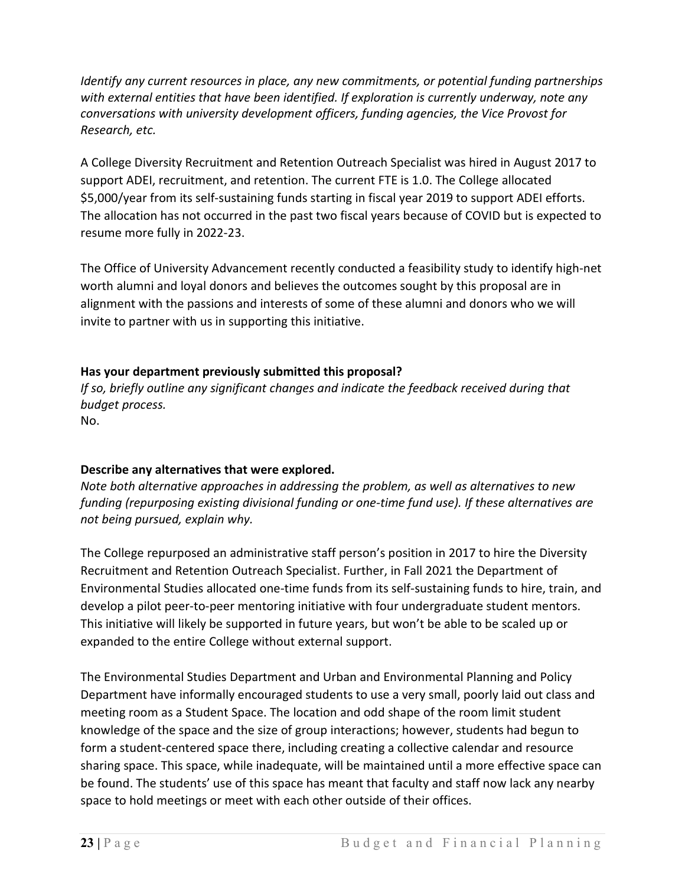*Identify any current resources in place, any new commitments, or potential funding partnerships with external entities that have been identified. If exploration is currently underway, note any conversations with university development officers, funding agencies, the Vice Provost for Research, etc.*

A College Diversity Recruitment and Retention Outreach Specialist was hired in August 2017 to support ADEI, recruitment, and retention. The current FTE is 1.0. The College allocated \$5,000/year from its self-sustaining funds starting in fiscal year 2019 to support ADEI efforts. The allocation has not occurred in the past two fiscal years because of COVID but is expected to resume more fully in 2022-23.

The Office of University Advancement recently conducted a feasibility study to identify high-net worth alumni and loyal donors and believes the outcomes sought by this proposal are in alignment with the passions and interests of some of these alumni and donors who we will invite to partner with us in supporting this initiative.

### **Has your department previously submitted this proposal?**

*If so, briefly outline any significant changes and indicate the feedback received during that budget process.*

No.

### **Describe any alternatives that were explored.**

*Note both alternative approaches in addressing the problem, as well as alternatives to new funding (repurposing existing divisional funding or one-time fund use). If these alternatives are not being pursued, explain why.*

The College repurposed an administrative staff person's position in 2017 to hire the Diversity Recruitment and Retention Outreach Specialist. Further, in Fall 2021 the Department of Environmental Studies allocated one-time funds from its self-sustaining funds to hire, train, and develop a pilot peer-to-peer mentoring initiative with four undergraduate student mentors. This initiative will likely be supported in future years, but won't be able to be scaled up or expanded to the entire College without external support.

The Environmental Studies Department and Urban and Environmental Planning and Policy Department have informally encouraged students to use a very small, poorly laid out class and meeting room as a Student Space. The location and odd shape of the room limit student knowledge of the space and the size of group interactions; however, students had begun to form a student-centered space there, including creating a collective calendar and resource sharing space. This space, while inadequate, will be maintained until a more effective space can be found. The students' use of this space has meant that faculty and staff now lack any nearby space to hold meetings or meet with each other outside of their offices.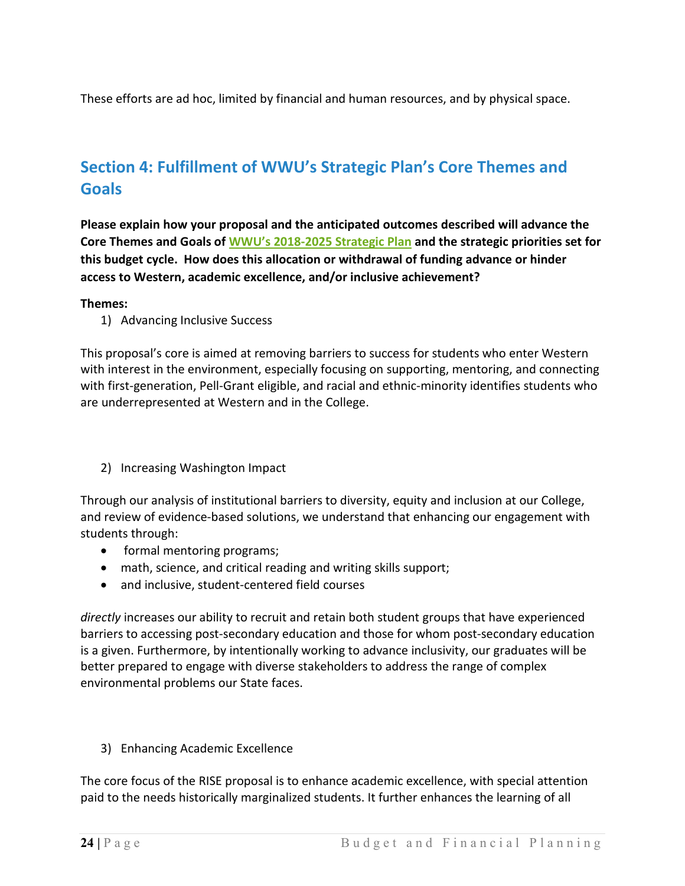These efforts are ad hoc, limited by financial and human resources, and by physical space.

## **Section 4: Fulfillment of WWU's Strategic Plan's Core Themes and Goals**

**Please explain how your proposal and the anticipated outcomes described will advance the Core Themes and Goals of [WWU's 2018-2025 Strategic Plan](https://provost.wwu.edu/strategic-plan-2018-2025) and the strategic priorities set for this budget cycle. How does this allocation or withdrawal of funding advance or hinder access to Western, academic excellence, and/or inclusive achievement?**

#### **Themes:**

1) Advancing Inclusive Success

This proposal's core is aimed at removing barriers to success for students who enter Western with interest in the environment, especially focusing on supporting, mentoring, and connecting with first-generation, Pell-Grant eligible, and racial and ethnic-minority identifies students who are underrepresented at Western and in the College.

2) Increasing Washington Impact

Through our analysis of institutional barriers to diversity, equity and inclusion at our College, and review of evidence-based solutions, we understand that enhancing our engagement with students through:

- formal mentoring programs;
- math, science, and critical reading and writing skills support;
- and inclusive, student-centered field courses

*directly* increases our ability to recruit and retain both student groups that have experienced barriers to accessing post-secondary education and those for whom post-secondary education is a given. Furthermore, by intentionally working to advance inclusivity, our graduates will be better prepared to engage with diverse stakeholders to address the range of complex environmental problems our State faces.

3) Enhancing Academic Excellence

The core focus of the RISE proposal is to enhance academic excellence, with special attention paid to the needs historically marginalized students. It further enhances the learning of all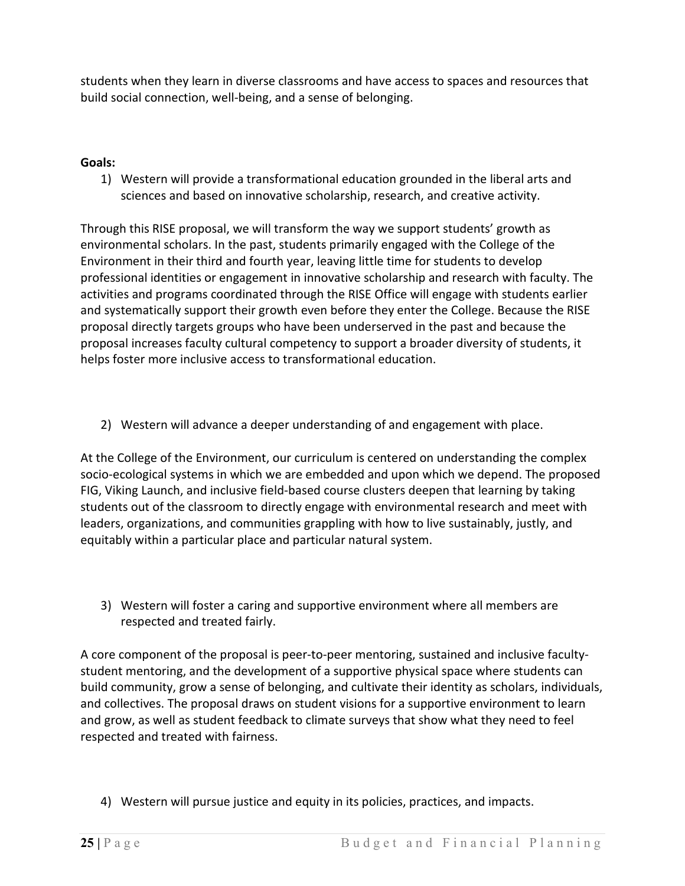students when they learn in diverse classrooms and have access to spaces and resources that build social connection, well-being, and a sense of belonging.

### **Goals:**

1) Western will provide a transformational education grounded in the liberal arts and sciences and based on innovative scholarship, research, and creative activity.

Through this RISE proposal, we will transform the way we support students' growth as environmental scholars. In the past, students primarily engaged with the College of the Environment in their third and fourth year, leaving little time for students to develop professional identities or engagement in innovative scholarship and research with faculty. The activities and programs coordinated through the RISE Office will engage with students earlier and systematically support their growth even before they enter the College. Because the RISE proposal directly targets groups who have been underserved in the past and because the proposal increases faculty cultural competency to support a broader diversity of students, it helps foster more inclusive access to transformational education.

2) Western will advance a deeper understanding of and engagement with place.

At the College of the Environment, our curriculum is centered on understanding the complex socio-ecological systems in which we are embedded and upon which we depend. The proposed FIG, Viking Launch, and inclusive field-based course clusters deepen that learning by taking students out of the classroom to directly engage with environmental research and meet with leaders, organizations, and communities grappling with how to live sustainably, justly, and equitably within a particular place and particular natural system.

3) Western will foster a caring and supportive environment where all members are respected and treated fairly.

A core component of the proposal is peer-to-peer mentoring, sustained and inclusive facultystudent mentoring, and the development of a supportive physical space where students can build community, grow a sense of belonging, and cultivate their identity as scholars, individuals, and collectives. The proposal draws on student visions for a supportive environment to learn and grow, as well as student feedback to climate surveys that show what they need to feel respected and treated with fairness.

4) Western will pursue justice and equity in its policies, practices, and impacts.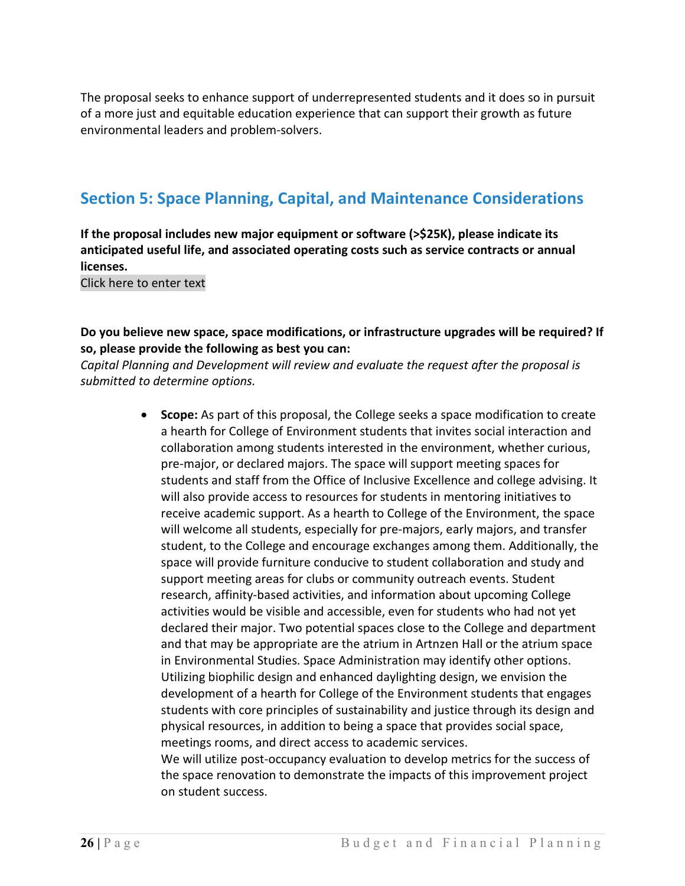The proposal seeks to enhance support of underrepresented students and it does so in pursuit of a more just and equitable education experience that can support their growth as future environmental leaders and problem-solvers.

### **Section 5: Space Planning, Capital, and Maintenance Considerations**

**If the proposal includes new major equipment or software (>\$25K), please indicate its anticipated useful life, and associated operating costs such as service contracts or annual licenses.**

Click here to enter text

### **Do you believe new space, space modifications, or infrastructure upgrades will be required? If so, please provide the following as best you can:**

*Capital Planning and Development will review and evaluate the request after the proposal is submitted to determine options.*

> • **Scope:** As part of this proposal, the College seeks a space modification to create a hearth for College of Environment students that invites social interaction and collaboration among students interested in the environment, whether curious, pre-major, or declared majors. The space will support meeting spaces for students and staff from the Office of Inclusive Excellence and college advising. It will also provide access to resources for students in mentoring initiatives to receive academic support. As a hearth to College of the Environment, the space will welcome all students, especially for pre-majors, early majors, and transfer student, to the College and encourage exchanges among them. Additionally, the space will provide furniture conducive to student collaboration and study and support meeting areas for clubs or community outreach events. Student research, affinity-based activities, and information about upcoming College activities would be visible and accessible, even for students who had not yet declared their major. Two potential spaces close to the College and department and that may be appropriate are the atrium in Artnzen Hall or the atrium space in Environmental Studies. Space Administration may identify other options. Utilizing biophilic design and enhanced daylighting design, we envision the development of a hearth for College of the Environment students that engages students with core principles of sustainability and justice through its design and physical resources, in addition to being a space that provides social space, meetings rooms, and direct access to academic services. We will utilize post-occupancy evaluation to develop metrics for the success of the space renovation to demonstrate the impacts of this improvement project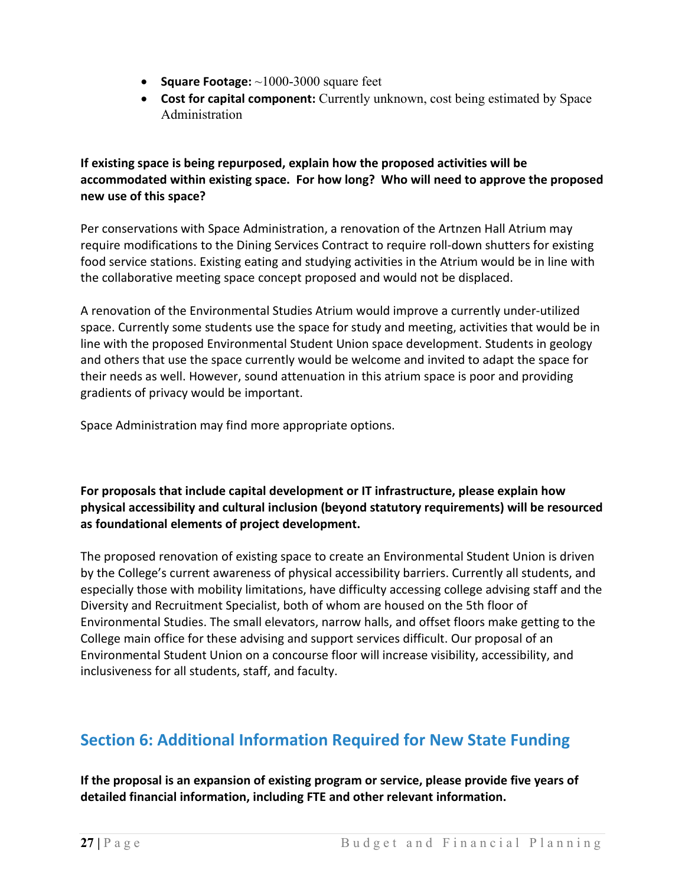- **Square Footage:** ~1000-3000 square feet
- **Cost for capital component:** Currently unknown, cost being estimated by Space Administration

**If existing space is being repurposed, explain how the proposed activities will be accommodated within existing space. For how long? Who will need to approve the proposed new use of this space?**

Per conservations with Space Administration, a renovation of the Artnzen Hall Atrium may require modifications to the Dining Services Contract to require roll-down shutters for existing food service stations. Existing eating and studying activities in the Atrium would be in line with the collaborative meeting space concept proposed and would not be displaced.

A renovation of the Environmental Studies Atrium would improve a currently under-utilized space. Currently some students use the space for study and meeting, activities that would be in line with the proposed Environmental Student Union space development. Students in geology and others that use the space currently would be welcome and invited to adapt the space for their needs as well. However, sound attenuation in this atrium space is poor and providing gradients of privacy would be important.

Space Administration may find more appropriate options.

**For proposals that include capital development or IT infrastructure, please explain how physical accessibility and cultural inclusion (beyond statutory requirements) will be resourced as foundational elements of project development.**

The proposed renovation of existing space to create an Environmental Student Union is driven by the College's current awareness of physical accessibility barriers. Currently all students, and especially those with mobility limitations, have difficulty accessing college advising staff and the Diversity and Recruitment Specialist, both of whom are housed on the 5th floor of Environmental Studies. The small elevators, narrow halls, and offset floors make getting to the College main office for these advising and support services difficult. Our proposal of an Environmental Student Union on a concourse floor will increase visibility, accessibility, and inclusiveness for all students, staff, and faculty.

# **Section 6: Additional Information Required for New State Funding**

**If the proposal is an expansion of existing program or service, please provide five years of detailed financial information, including FTE and other relevant information.**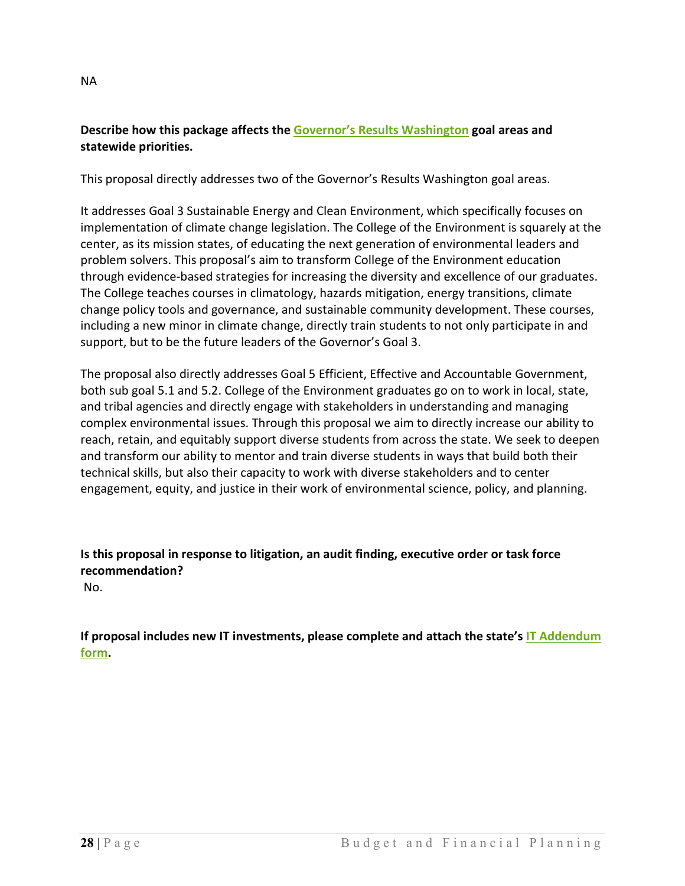### **Describe how this package affects the [Governor's Results Washington](https://results.wa.gov/) goal areas and statewide priorities.**

This proposal directly addresses two of the Governor's Results Washington goal areas.

It addresses Goal 3 Sustainable Energy and Clean Environment, which specifically focuses on implementation of climate change legislation. The College of the Environment is squarely at the center, as its mission states, of educating the next generation of environmental leaders and problem solvers. This proposal's aim to transform College of the Environment education through evidence-based strategies for increasing the diversity and excellence of our graduates. The College teaches courses in climatology, hazards mitigation, energy transitions, climate change policy tools and governance, and sustainable community development. These courses, including a new minor in climate change, directly train students to not only participate in and support, but to be the future leaders of the Governor's Goal 3.

The proposal also directly addresses Goal 5 Efficient, Effective and Accountable Government, both sub goal 5.1 and 5.2. College of the Environment graduates go on to work in local, state, and tribal agencies and directly engage with stakeholders in understanding and managing complex environmental issues. Through this proposal we aim to directly increase our ability to reach, retain, and equitably support diverse students from across the state. We seek to deepen and transform our ability to mentor and train diverse students in ways that build both their technical skills, but also their capacity to work with diverse stakeholders and to center engagement, equity, and justice in their work of environmental science, policy, and planning.

**Is this proposal in response to litigation, an audit finding, executive order or task force recommendation?**

No.

**If proposal includes new IT investments, please complete and attach the state's [IT Addendum](https://ofm.wa.gov/budget/budget-instructions/budget-forms)  [form.](https://ofm.wa.gov/budget/budget-instructions/budget-forms)**

NA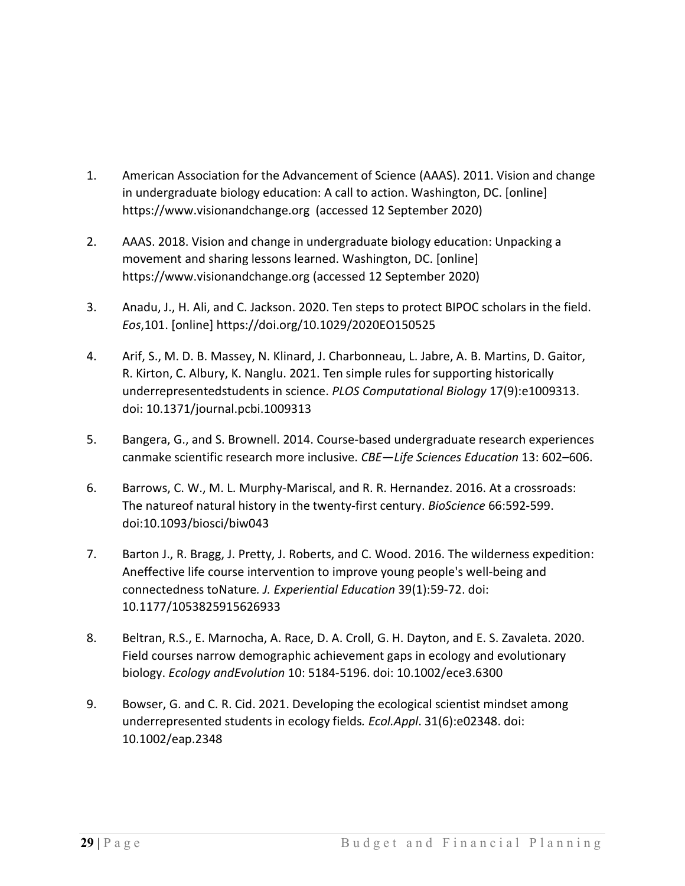- 1. American Association for the Advancement of Science (AAAS). 2011. Vision and change in undergraduate biology education: A call to action. Washington, DC. [online] https:/[/www.visionandchange.org](http://www.visionandchange.org/) (accessed 12 September 2020)
- 2. AAAS. 2018. Vision and change in undergraduate biology education: Unpacking a movement and sharing lessons learned. Washington, DC. [online] https:/[/www.visionandchange.org](http://www.visionandchange.org/) (accessed 12 September 2020)
- 3. Anadu, J., H. Ali, and C. Jackson. 2020. Ten steps to protect BIPOC scholars in the field. *Eos*,101. [online] https://doi.org/10.1029/2020EO150525
- 4. Arif, S., M. D. B. Massey, N. Klinard, J. Charbonneau, L. Jabre, A. B. Martins, D. Gaitor, R. Kirton, C. Albury, K. Nanglu. 2021. Ten simple rules for supporting historically underrepresentedstudents in science. *PLOS Computational Biology* 17(9):e1009313. doi: 10.1371/journal.pcbi.1009313
- 5. Bangera, G., and S. Brownell. 2014. Course-based undergraduate research experiences canmake scientific research more inclusive. *CBE—Life Sciences Education* 13: 602–606.
- 6. Barrows, C. W., M. L. Murphy-Mariscal, and R. R. Hernandez. 2016. At a crossroads: The natureof natural history in the twenty-first century. *BioScience* 66:592-599. doi:10.1093/biosci/biw043
- 7. Barton J., R. Bragg, J. Pretty, J. Roberts, and C. Wood. 2016. The wilderness expedition: Aneffective life course intervention to improve young people's well-being and connectedness toNature*. J. Experiential Education* 39(1):59-72. doi: 10.1177/1053825915626933
- 8. Beltran, R.S., E. Marnocha, A. Race, D. A. Croll, G. H. Dayton, and E. S. Zavaleta. 2020. Field courses narrow demographic achievement gaps in ecology and evolutionary biology. *Ecology andEvolution* 10: 5184-5196. doi: 10.1002/ece3.6300
- 9. Bowser, G. and C. R. Cid. 2021. Developing the ecological scientist mindset among underrepresented students in ecology fields*. Ecol.Appl*. 31(6):e02348. doi: 10.1002/eap.2348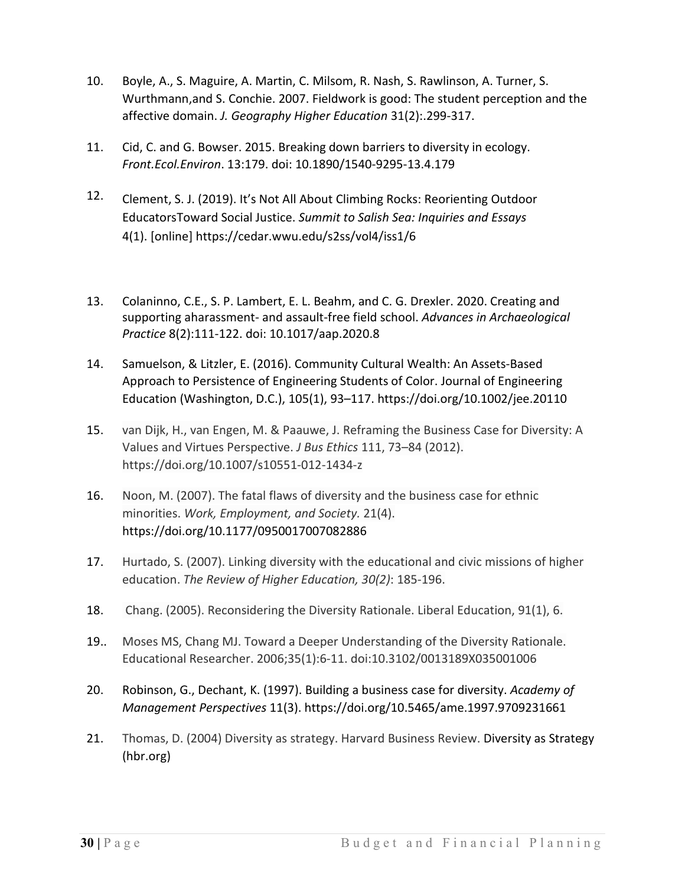- 10. Boyle, A., S. Maguire, A. Martin, C. Milsom, R. Nash, S. Rawlinson, A. Turner, S. Wurthmann,and S. Conchie. 2007. Fieldwork is good: The student perception and the affective domain. *J. Geography Higher Education* 31(2):.299-317.
- 11. Cid, C. and G. Bowser. 2015. Breaking down barriers to diversity in ecology. *Front.Ecol.Environ*. 13:179. doi: 10.1890/1540-9295-13.4.179
- 12. Clement, S. J. (2019). It's Not All About Climbing Rocks: Reorienting Outdoor EducatorsToward Social Justice. *Summit to Salish Sea: Inquiries and Essays*  4(1). [online] https://cedar.wwu.edu/s2ss/vol4/iss1/6
- 13. Colaninno, C.E., S. P. Lambert, E. L. Beahm, and C. G. Drexler. 2020. Creating and supporting aharassment- and assault-free field school. *Advances in Archaeological Practice* 8(2):111-122. doi: 10.1017/aap.2020.8
- 14. Samuelson, & Litzler, E. (2016). Community Cultural Wealth: An Assets-Based Approach to Persistence of Engineering Students of Color. Journal of Engineering Education (Washington, D.C.), 105(1), 93–117. https://doi.org/10.1002/jee.20110
- 15. van Dijk, H., van Engen, M. & Paauwe, J. Reframing the Business Case for Diversity: A Values and Virtues Perspective. *J Bus Ethics* 111, 73–84 (2012). https://doi.org/10.1007/s10551-012-1434-z
- 16. Noon, M. (2007). The fatal flaws of diversity and the business case for ethnic minorities. *Work, Employment, and Society.* 21(4). https://doi.org/10.1177/0950017007082886
- 17. Hurtado, S. (2007). Linking diversity with the educational and civic missions of higher education. *The Review of Higher Education, 30(2)*: 185-196.
- 18. Chang. (2005). Reconsidering the Diversity Rationale. Liberal Education, 91(1), 6.
- 19.. Moses MS, Chang MJ. Toward a Deeper Understanding of the Diversity Rationale. Educational Researcher. 2006;35(1):6-11. doi:10.3102/0013189X035001006
- 20. Robinson, G., Dechant, K. (1997). Building a business case for diversity. *Academy of Management Perspectives* 11(3). https://doi.org/10.5465/ame.1997.9709231661
- 21. Thomas, D. (2004) Diversity as strategy. Harvard Business Review. [Diversity as Strategy](https://www.vrandolphbrown.com/assets/hbr_diversity-as-strategy.pdf)  [\(hbr.org\)](https://www.vrandolphbrown.com/assets/hbr_diversity-as-strategy.pdf)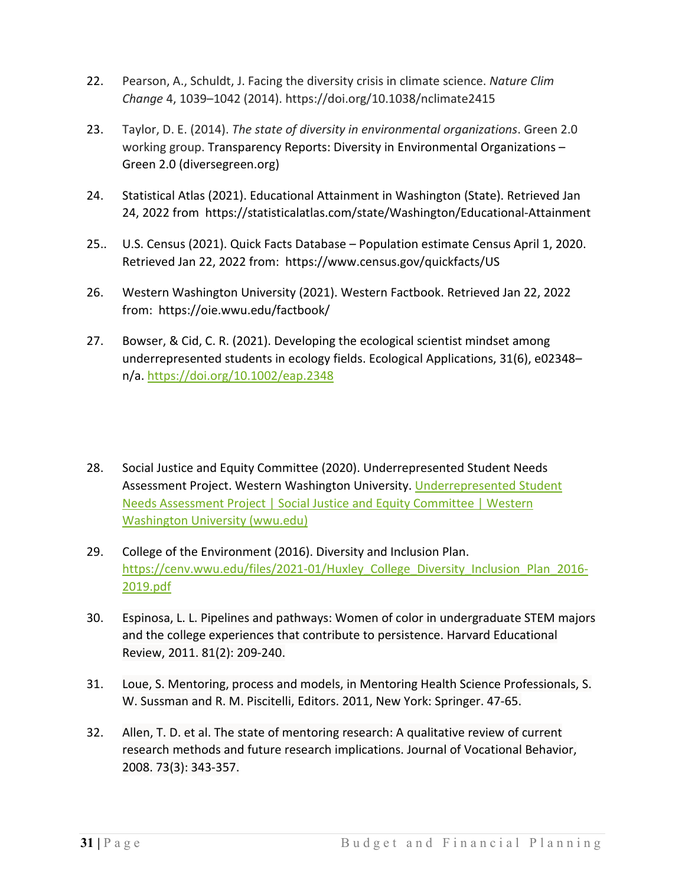- 22. Pearson, A., Schuldt, J. Facing the diversity crisis in climate science. *Nature Clim Change* 4, 1039–1042 (2014). https://doi.org/10.1038/nclimate2415
- 23. Taylor, D. E. (2014). *The state of diversity in environmental organizations*. Green 2.0 working group. Transparency Reports: Diversity in Environmental Organizations – Green 2.0 (diversegreen.org)
- 24. Statistical Atlas (2021). Educational Attainment in Washington (State). Retrieved Jan 24, 2022 from https://statisticalatlas.com/state/Washington/Educational-Attainment
- 25.. U.S. Census (2021). Quick Facts Database Population estimate Census April 1, 2020. Retrieved Jan 22, 2022 from: https://www.census.gov/quickfacts/US
- 26. Western Washington University (2021). Western Factbook. Retrieved Jan 22, 2022 from: https://oie.wwu.edu/factbook/
- 27. Bowser, & Cid, C. R. (2021). Developing the ecological scientist mindset among underrepresented students in ecology fields. Ecological Applications, 31(6), e02348– n/a[. https://doi.org/10.1002/eap.2348](https://doi.org/10.1002/eap.2348)
- 28. Social Justice and Equity Committee (2020). Underrepresented Student Needs Assessment Project. Western Washington University. [Underrepresented Student](https://sjec.wwu.edu/underrepresented-student-needs-assessment-project)  [Needs Assessment Project | Social Justice and Equity Committee | Western](https://sjec.wwu.edu/underrepresented-student-needs-assessment-project)  [Washington University \(wwu.edu\)](https://sjec.wwu.edu/underrepresented-student-needs-assessment-project)
- 29. College of the Environment (2016). Diversity and Inclusion Plan. [https://cenv.wwu.edu/files/2021-01/Huxley\\_College\\_Diversity\\_Inclusion\\_Plan\\_2016-](https://cenv.wwu.edu/files/2021-01/Huxley_College_Diversity_Inclusion_Plan_2016-2019.pdf) [2019.pdf](https://cenv.wwu.edu/files/2021-01/Huxley_College_Diversity_Inclusion_Plan_2016-2019.pdf)
- 30. Espinosa, L. L. Pipelines and pathways: Women of color in undergraduate STEM majors and the college experiences that contribute to persistence. Harvard Educational Review, 2011. 81(2): 209-240.
- 31. Loue, S. Mentoring, process and models, in Mentoring Health Science Professionals, S. W. Sussman and R. M. Piscitelli, Editors. 2011, New York: Springer. 47-65.
- 32. Allen, T. D. et al. The state of mentoring research: A qualitative review of current research methods and future research implications. Journal of Vocational Behavior, 2008. 73(3): 343-357.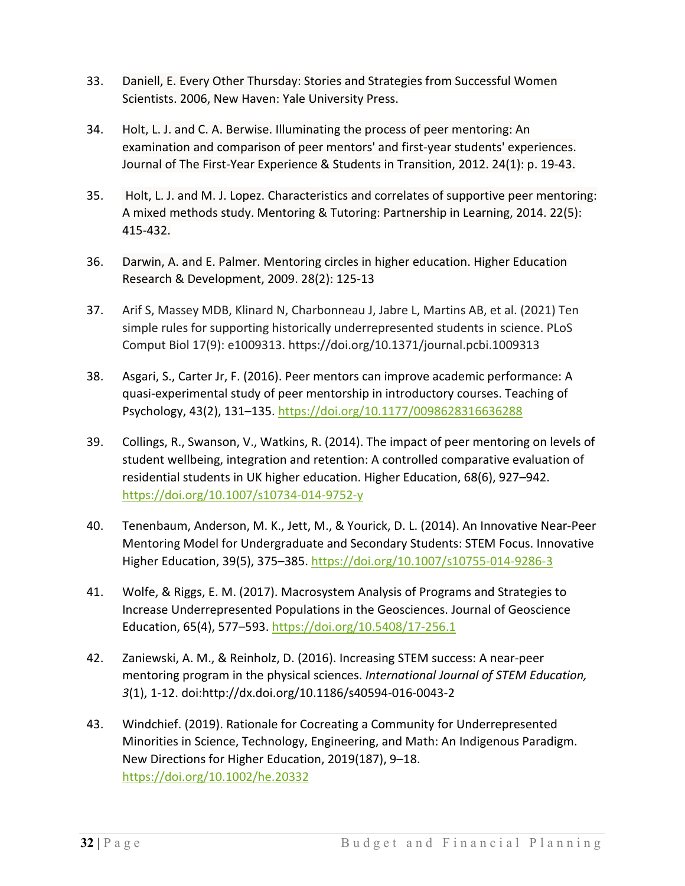- 33. Daniell, E. Every Other Thursday: Stories and Strategies from Successful Women Scientists. 2006, New Haven: Yale University Press.
- 34. Holt, L. J. and C. A. Berwise. Illuminating the process of peer mentoring: An examination and comparison of peer mentors' and first-year students' experiences. Journal of The First-Year Experience & Students in Transition, 2012. 24(1): p. 19-43.
- 35. Holt, L. J. and M. J. Lopez. Characteristics and correlates of supportive peer mentoring: A mixed methods study. Mentoring & Tutoring: Partnership in Learning, 2014. 22(5): 415-432.
- 36. Darwin, A. and E. Palmer. Mentoring circles in higher education. Higher Education Research & Development, 2009. 28(2): 125-13
- 37. Arif S, Massey MDB, Klinard N, Charbonneau J, Jabre L, Martins AB, et al. (2021) Ten simple rules for supporting historically underrepresented students in science. PLoS Comput Biol 17(9): e1009313. https://doi.org/10.1371/journal.pcbi.1009313
- 38. Asgari, S., Carter Jr, F. (2016). Peer mentors can improve academic performance: A quasi-experimental study of peer mentorship in introductory courses. Teaching of Psychology, 43(2), 131–135[. https://doi.org/10.1177/0098628316636288](https://doi.org/10.1177/0098628316636288)
- 39. Collings, R., Swanson, V., Watkins, R. (2014). The impact of peer mentoring on levels of student wellbeing, integration and retention: A controlled comparative evaluation of residential students in UK higher education. Higher Education, 68(6), 927–942. <https://doi.org/10.1007/s10734-014-9752-y>
- 40. Tenenbaum, Anderson, M. K., Jett, M., & Yourick, D. L. (2014). An Innovative Near-Peer Mentoring Model for Undergraduate and Secondary Students: STEM Focus. Innovative Higher Education, 39(5), 375–385.<https://doi.org/10.1007/s10755-014-9286-3>
- 41. Wolfe, & Riggs, E. M. (2017). Macrosystem Analysis of Programs and Strategies to Increase Underrepresented Populations in the Geosciences. Journal of Geoscience Education, 65(4), 577–593. [https://doi.org/10.5408/17-256.1](https://nam11.safelinks.protection.outlook.com/?url=https%3A%2F%2Fdoi.org%2F10.5408%2F17-256.1&data=04%7C01%7Cgreenr21%40wwu.edu%7C73431a59df6e4d93ba0b08d9db7167f2%7Cdc46140ce26f43efb0ae00f257f478ff%7C0%7C0%7C637782102386223399%7CUnknown%7CTWFpbGZsb3d8eyJWIjoiMC4wLjAwMDAiLCJQIjoiV2luMzIiLCJBTiI6Ik1haWwiLCJXVCI6Mn0%3D%7C3000&sdata=dAE%2FPacvYxB8cjfLwT8fEGqA5i18nvGw8cuGNEPYuLU%3D&reserved=0)
- 42. Zaniewski, A. M., & Reinholz, D. (2016). Increasing STEM success: A near-peer mentoring program in the physical sciences. *International Journal of STEM Education, 3*(1), 1-12. doi:http://dx.doi.org/10.1186/s40594-016-0043-2
- 43. Windchief. (2019). Rationale for Cocreating a Community for Underrepresented Minorities in Science, Technology, Engineering, and Math: An Indigenous Paradigm. New Directions for Higher Education, 2019(187), 9–18. [https://doi.org/10.1002/he.20332](https://nam11.safelinks.protection.outlook.com/?url=https%3A%2F%2Fdoi.org%2F10.1002%2Fhe.20332&data=04%7C01%7Cgreenr21%40wwu.edu%7C73431a59df6e4d93ba0b08d9db7167f2%7Cdc46140ce26f43efb0ae00f257f478ff%7C0%7C0%7C637782102386223399%7CUnknown%7CTWFpbGZsb3d8eyJWIjoiMC4wLjAwMDAiLCJQIjoiV2luMzIiLCJBTiI6Ik1haWwiLCJXVCI6Mn0%3D%7C3000&sdata=bB7n5RIWtGdtocljlVlEyJDfaoLF68shZMxexOrGWDY%3D&reserved=0)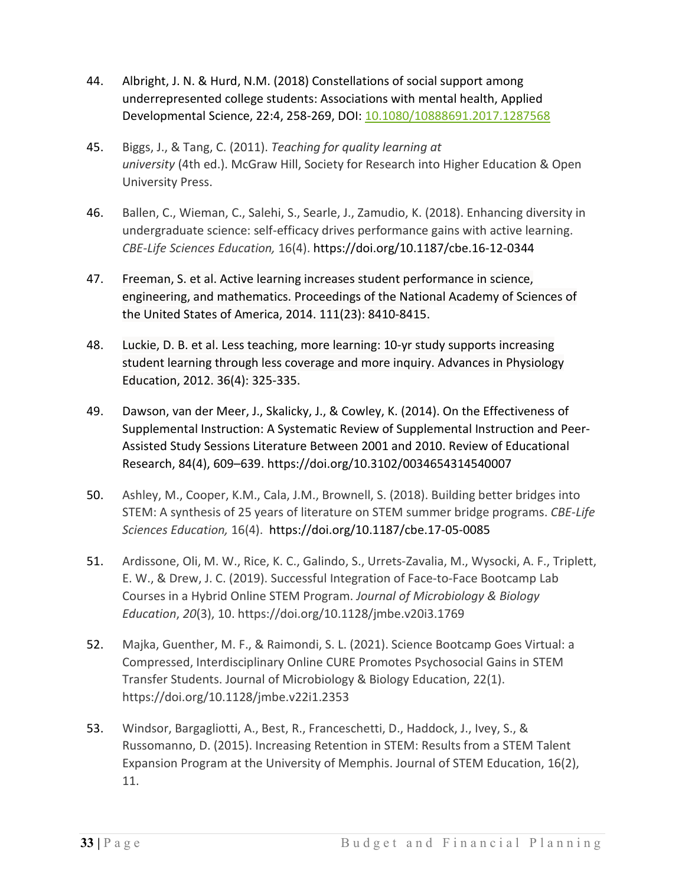- 44. Albright, J. N. & Hurd, N.M. (2018) Constellations of social support among underrepresented college students: Associations with mental health, Applied Developmental Science, 22:4, 258-269, DOI: [10.1080/10888691.2017.1287568](https://doi-org.ezproxy.library.wwu.edu/10.1080/10888691.2017.1287568)
- 45. Biggs, J., & Tang, C. (2011). *Teaching for quality learning at university* (4th ed.). McGraw Hill, Society for Research into Higher Education & Open University Press.
- 46. Ballen, C., Wieman, C., Salehi, S., Searle, J., Zamudio, K. (2018). Enhancing diversity in undergraduate science: self-efficacy drives performance gains with active learning. *CBE-Life Sciences Education,* 16(4). https://doi.org/10.1187/cbe.16-12-0344
- 47. Freeman, S. et al. Active learning increases student performance in science, engineering, and mathematics. Proceedings of the National Academy of Sciences of the United States of America, 2014. 111(23): 8410-8415.
- 48. Luckie, D. B. et al. Less teaching, more learning: 10-yr study supports increasing student learning through less coverage and more inquiry. Advances in Physiology Education, 2012. 36(4): 325-335.
- 49. Dawson, van der Meer, J., Skalicky, J., & Cowley, K. (2014). On the Effectiveness of Supplemental Instruction: A Systematic Review of Supplemental Instruction and Peer-Assisted Study Sessions Literature Between 2001 and 2010. Review of Educational Research, 84(4), 609–639. https://doi.org/10.3102/0034654314540007
- 50. Ashley, M., Cooper, K.M., Cala, J.M., Brownell, S. (2018). Building better bridges into STEM: A synthesis of 25 years of literature on STEM summer bridge programs. *CBE-Life Sciences Education,* 16(4). https://doi.org/10.1187/cbe.17-05-0085
- 51. Ardissone, Oli, M. W., Rice, K. C., Galindo, S., Urrets-Zavalia, M., Wysocki, A. F., Triplett, E. W., & Drew, J. C. (2019). Successful Integration of Face-to-Face Bootcamp Lab Courses in a Hybrid Online STEM Program. *Journal of Microbiology & Biology Education*, *20*(3), 10. https://doi.org/10.1128/jmbe.v20i3.1769
- 52. Majka, Guenther, M. F., & Raimondi, S. L. (2021). Science Bootcamp Goes Virtual: a Compressed, Interdisciplinary Online CURE Promotes Psychosocial Gains in STEM Transfer Students. Journal of Microbiology & Biology Education, 22(1). https://doi.org/10.1128/jmbe.v22i1.2353
- 53. Windsor, Bargagliotti, A., Best, R., Franceschetti, D., Haddock, J., Ivey, S., & Russomanno, D. (2015). Increasing Retention in STEM: Results from a STEM Talent Expansion Program at the University of Memphis. Journal of STEM Education, 16(2), 11.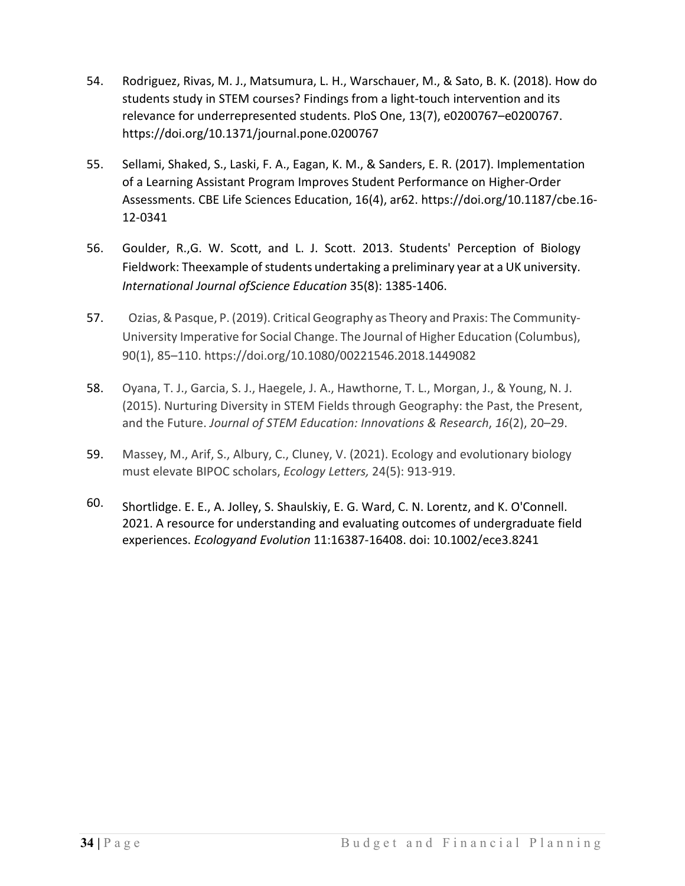- 54. Rodriguez, Rivas, M. J., Matsumura, L. H., Warschauer, M., & Sato, B. K. (2018). How do students study in STEM courses? Findings from a light-touch intervention and its relevance for underrepresented students. PloS One, 13(7), e0200767–e0200767. https://doi.org/10.1371/journal.pone.0200767
- 55. Sellami, Shaked, S., Laski, F. A., Eagan, K. M., & Sanders, E. R. (2017). Implementation of a Learning Assistant Program Improves Student Performance on Higher-Order Assessments. CBE Life Sciences Education, 16(4), ar62. https://doi.org/10.1187/cbe.16- 12-0341
- 56. Goulder, R.,G. W. Scott, and L. J. Scott. 2013. Students' Perception of Biology Fieldwork: Theexample of students undertaking a preliminary year at a UK university. *International Journal ofScience Education* 35(8): 1385-1406.
- 57. Ozias, & Pasque, P. (2019). Critical Geography as Theory and Praxis: The Community-University Imperative for Social Change. The Journal of Higher Education (Columbus), 90(1), 85–110. https://doi.org/10.1080/00221546.2018.1449082
- 58. Oyana, T. J., Garcia, S. J., Haegele, J. A., Hawthorne, T. L., Morgan, J., & Young, N. J. (2015). Nurturing Diversity in STEM Fields through Geography: the Past, the Present, and the Future. *Journal of STEM Education: Innovations & Research*, *16*(2), 20–29.
- 59. Massey, M., Arif, S., Albury, C., Cluney, V. (2021). Ecology and evolutionary biology must elevate BIPOC scholars, *Ecology Letters,* 24(5): 913-919.
- 60. Shortlidge. E. E., A. Jolley, S. Shaulskiy, E. G. Ward, C. N. Lorentz, and K. O'Connell. 2021. A resource for understanding and evaluating outcomes of undergraduate field experiences. *Ecologyand Evolution* 11:16387-16408. doi: 10.1002/ece3.8241